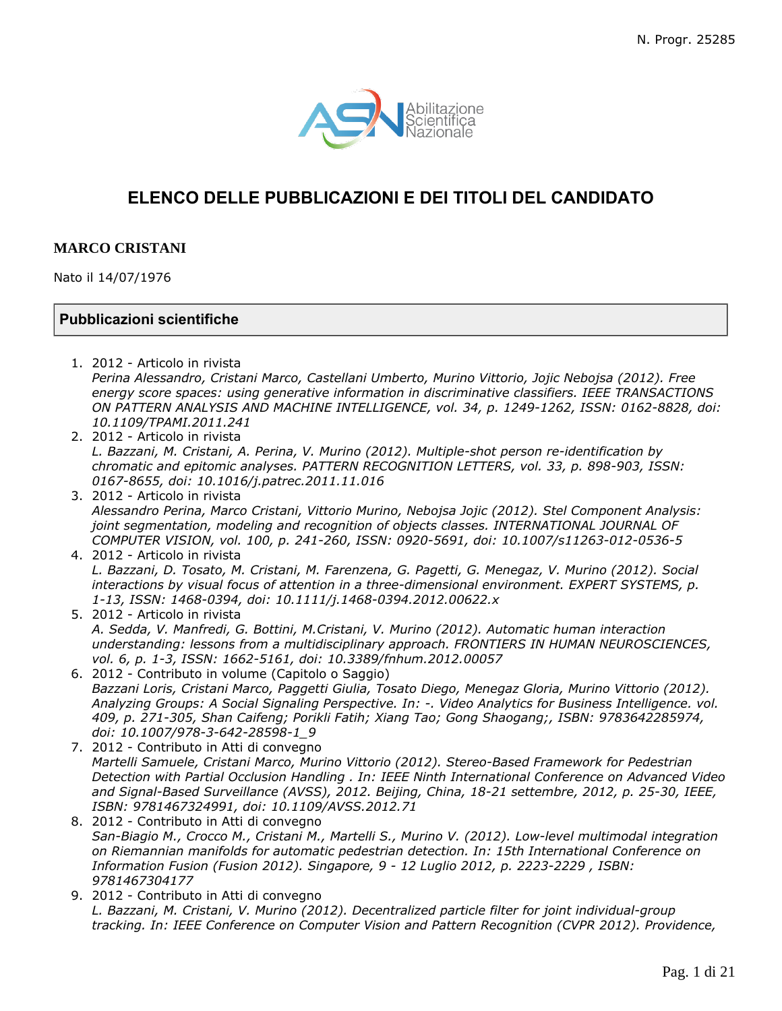

# **ELENCO DELLE PUBBLICAZIONI E DEI TITOLI DEL CANDIDATO**

# **MARCO CRISTANI**

Nato il 14/07/1976

# **Pubblicazioni scientifiche**

- 1. 2012 Articolo in rivista *Perina Alessandro, Cristani Marco, Castellani Umberto, Murino Vittorio, Jojic Nebojsa (2012). Free energy score spaces: using generative information in discriminative classifiers. IEEE TRANSACTIONS ON PATTERN ANALYSIS AND MACHINE INTELLIGENCE, vol. 34, p. 1249-1262, ISSN: 0162-8828, doi: 10.1109/TPAMI.2011.241*
- 2. 2012 Articolo in rivista

*L. Bazzani, M. Cristani, A. Perina, V. Murino (2012). Multiple-shot person re-identification by chromatic and epitomic analyses. PATTERN RECOGNITION LETTERS, vol. 33, p. 898-903, ISSN: 0167-8655, doi: 10.1016/j.patrec.2011.11.016*

- 3. 2012 Articolo in rivista *Alessandro Perina, Marco Cristani, Vittorio Murino, Nebojsa Jojic (2012). Stel Component Analysis: joint segmentation, modeling and recognition of objects classes. INTERNATIONAL JOURNAL OF COMPUTER VISION, vol. 100, p. 241-260, ISSN: 0920-5691, doi: 10.1007/s11263-012-0536-5*
- 4. 2012 Articolo in rivista *L. Bazzani, D. Tosato, M. Cristani, M. Farenzena, G. Pagetti, G. Menegaz, V. Murino (2012). Social interactions by visual focus of attention in a three-dimensional environment. EXPERT SYSTEMS, p. 1-13, ISSN: 1468-0394, doi: 10.1111/j.1468-0394.2012.00622.x*
- 5. 2012 Articolo in rivista *A. Sedda, V. Manfredi, G. Bottini, M.Cristani, V. Murino (2012). Automatic human interaction understanding: lessons from a multidisciplinary approach. FRONTIERS IN HUMAN NEUROSCIENCES, vol. 6, p. 1-3, ISSN: 1662-5161, doi: 10.3389/fnhum.2012.00057*
- 6. 2012 Contributo in volume (Capitolo o Saggio) *Bazzani Loris, Cristani Marco, Paggetti Giulia, Tosato Diego, Menegaz Gloria, Murino Vittorio (2012). Analyzing Groups: A Social Signaling Perspective. In: -. Video Analytics for Business Intelligence. vol. 409, p. 271-305, Shan Caifeng; Porikli Fatih; Xiang Tao; Gong Shaogang;, ISBN: 9783642285974, doi: 10.1007/978-3-642-28598-1\_9*
- 7. 2012 Contributo in Atti di convegno *Martelli Samuele, Cristani Marco, Murino Vittorio (2012). Stereo-Based Framework for Pedestrian Detection with Partial Occlusion Handling . In: IEEE Ninth International Conference on Advanced Video and Signal-Based Surveillance (AVSS), 2012. Beijing, China, 18-21 settembre, 2012, p. 25-30, IEEE, ISBN: 9781467324991, doi: 10.1109/AVSS.2012.71*
- 8. 2012 Contributo in Atti di convegno *San-Biagio M., Crocco M., Cristani M., Martelli S., Murino V. (2012). Low-level multimodal integration on Riemannian manifolds for automatic pedestrian detection. In: 15th International Conference on Information Fusion (Fusion 2012). Singapore, 9 - 12 Luglio 2012, p. 2223-2229 , ISBN: 9781467304177*
- 9. 2012 Contributo in Atti di convegno *L. Bazzani, M. Cristani, V. Murino (2012). Decentralized particle filter for joint individual-group tracking. In: IEEE Conference on Computer Vision and Pattern Recognition (CVPR 2012). Providence,*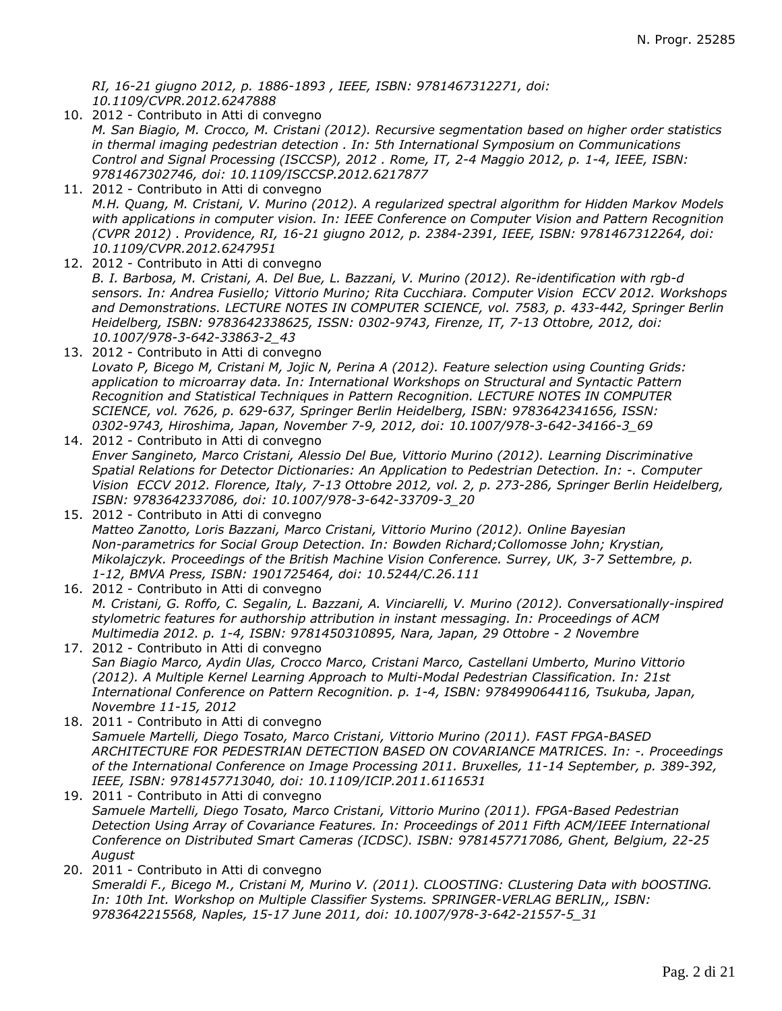*RI, 16-21 giugno 2012, p. 1886-1893 , IEEE, ISBN: 9781467312271, doi: 10.1109/CVPR.2012.6247888*

- 10. 2012 Contributo in Atti di convegno *M. San Biagio, M. Crocco, M. Cristani (2012). Recursive segmentation based on higher order statistics in thermal imaging pedestrian detection . In: 5th International Symposium on Communications Control and Signal Processing (ISCCSP), 2012 . Rome, IT, 2-4 Maggio 2012, p. 1-4, IEEE, ISBN: 9781467302746, doi: 10.1109/ISCCSP.2012.6217877*
- 11. 2012 Contributo in Atti di convegno *M.H. Quang, M. Cristani, V. Murino (2012). A regularized spectral algorithm for Hidden Markov Models with applications in computer vision. In: IEEE Conference on Computer Vision and Pattern Recognition (CVPR 2012) . Providence, RI, 16-21 giugno 2012, p. 2384-2391, IEEE, ISBN: 9781467312264, doi: 10.1109/CVPR.2012.6247951*
- 12. 2012 Contributo in Atti di convegno *B. I. Barbosa, M. Cristani, A. Del Bue, L. Bazzani, V. Murino (2012). Re-identification with rgb-d sensors. In: Andrea Fusiello; Vittorio Murino; Rita Cucchiara. Computer Vision ECCV 2012. Workshops and Demonstrations. LECTURE NOTES IN COMPUTER SCIENCE, vol. 7583, p. 433-442, Springer Berlin Heidelberg, ISBN: 9783642338625, ISSN: 0302-9743, Firenze, IT, 7-13 Ottobre, 2012, doi: 10.1007/978-3-642-33863-2\_43*
- 13. 2012 Contributo in Atti di convegno *Lovato P, Bicego M, Cristani M, Jojic N, Perina A (2012). Feature selection using Counting Grids: application to microarray data. In: International Workshops on Structural and Syntactic Pattern Recognition and Statistical Techniques in Pattern Recognition. LECTURE NOTES IN COMPUTER SCIENCE, vol. 7626, p. 629-637, Springer Berlin Heidelberg, ISBN: 9783642341656, ISSN: 0302-9743, Hiroshima, Japan, November 7-9, 2012, doi: 10.1007/978-3-642-34166-3\_69*
- 14. 2012 Contributo in Atti di convegno *Enver Sangineto, Marco Cristani, Alessio Del Bue, Vittorio Murino (2012). Learning Discriminative Spatial Relations for Detector Dictionaries: An Application to Pedestrian Detection. In: -. Computer Vision ECCV 2012. Florence, Italy, 7-13 Ottobre 2012, vol. 2, p. 273-286, Springer Berlin Heidelberg, ISBN: 9783642337086, doi: 10.1007/978-3-642-33709-3\_20*
- 15. 2012 Contributo in Atti di convegno *Matteo Zanotto, Loris Bazzani, Marco Cristani, Vittorio Murino (2012). Online Bayesian Non-parametrics for Social Group Detection. In: Bowden Richard;Collomosse John; Krystian, Mikolajczyk. Proceedings of the British Machine Vision Conference. Surrey, UK, 3-7 Settembre, p. 1-12, BMVA Press, ISBN: 1901725464, doi: 10.5244/C.26.111*
- 16. 2012 Contributo in Atti di convegno *M. Cristani, G. Roffo, C. Segalin, L. Bazzani, A. Vinciarelli, V. Murino (2012). Conversationally-inspired stylometric features for authorship attribution in instant messaging. In: Proceedings of ACM Multimedia 2012. p. 1-4, ISBN: 9781450310895, Nara, Japan, 29 Ottobre - 2 Novembre*
- 17. 2012 Contributo in Atti di convegno *San Biagio Marco, Aydin Ulas, Crocco Marco, Cristani Marco, Castellani Umberto, Murino Vittorio (2012). A Multiple Kernel Learning Approach to Multi-Modal Pedestrian Classification. In: 21st International Conference on Pattern Recognition. p. 1-4, ISBN: 9784990644116, Tsukuba, Japan, Novembre 11-15, 2012*
- 18. 2011 Contributo in Atti di convegno *Samuele Martelli, Diego Tosato, Marco Cristani, Vittorio Murino (2011). FAST FPGA-BASED ARCHITECTURE FOR PEDESTRIAN DETECTION BASED ON COVARIANCE MATRICES. In: -. Proceedings of the International Conference on Image Processing 2011. Bruxelles, 11-14 September, p. 389-392, IEEE, ISBN: 9781457713040, doi: 10.1109/ICIP.2011.6116531*
- 19. 2011 Contributo in Atti di convegno *Samuele Martelli, Diego Tosato, Marco Cristani, Vittorio Murino (2011). FPGA-Based Pedestrian Detection Using Array of Covariance Features. In: Proceedings of 2011 Fifth ACM/IEEE International Conference on Distributed Smart Cameras (ICDSC). ISBN: 9781457717086, Ghent, Belgium, 22-25 August*
- 20. 2011 Contributo in Atti di convegno *Smeraldi F., Bicego M., Cristani M, Murino V. (2011). CLOOSTING: CLustering Data with bOOSTING. In: 10th Int. Workshop on Multiple Classifier Systems. SPRINGER-VERLAG BERLIN,, ISBN: 9783642215568, Naples, 15-17 June 2011, doi: 10.1007/978-3-642-21557-5\_31*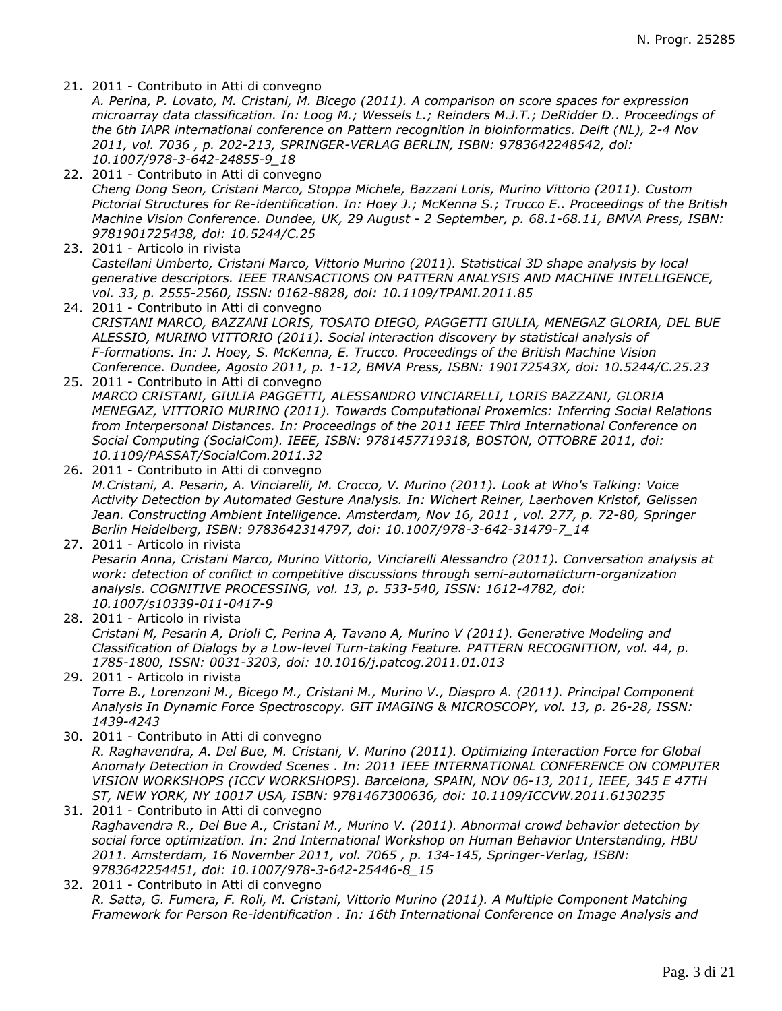21. 2011 - Contributo in Atti di convegno

*A. Perina, P. Lovato, M. Cristani, M. Bicego (2011). A comparison on score spaces for expression microarray data classification. In: Loog M.; Wessels L.; Reinders M.J.T.; DeRidder D.. Proceedings of the 6th IAPR international conference on Pattern recognition in bioinformatics. Delft (NL), 2-4 Nov 2011, vol. 7036 , p. 202-213, SPRINGER-VERLAG BERLIN, ISBN: 9783642248542, doi: 10.1007/978-3-642-24855-9\_18*

- 22. 2011 Contributo in Atti di convegno *Cheng Dong Seon, Cristani Marco, Stoppa Michele, Bazzani Loris, Murino Vittorio (2011). Custom Pictorial Structures for Re-identification. In: Hoey J.; McKenna S.; Trucco E.. Proceedings of the British Machine Vision Conference. Dundee, UK, 29 August - 2 September, p. 68.1-68.11, BMVA Press, ISBN: 9781901725438, doi: 10.5244/C.25*
- 23. 2011 Articolo in rivista *Castellani Umberto, Cristani Marco, Vittorio Murino (2011). Statistical 3D shape analysis by local generative descriptors. IEEE TRANSACTIONS ON PATTERN ANALYSIS AND MACHINE INTELLIGENCE, vol. 33, p. 2555-2560, ISSN: 0162-8828, doi: 10.1109/TPAMI.2011.85*
- 24. 2011 Contributo in Atti di convegno *CRISTANI MARCO, BAZZANI LORIS, TOSATO DIEGO, PAGGETTI GIULIA, MENEGAZ GLORIA, DEL BUE ALESSIO, MURINO VITTORIO (2011). Social interaction discovery by statistical analysis of F-formations. In: J. Hoey, S. McKenna, E. Trucco. Proceedings of the British Machine Vision Conference. Dundee, Agosto 2011, p. 1-12, BMVA Press, ISBN: 190172543X, doi: 10.5244/C.25.23*
- 25. 2011 Contributo in Atti di convegno *MARCO CRISTANI, GIULIA PAGGETTI, ALESSANDRO VINCIARELLI, LORIS BAZZANI, GLORIA MENEGAZ, VITTORIO MURINO (2011). Towards Computational Proxemics: Inferring Social Relations from Interpersonal Distances. In: Proceedings of the 2011 IEEE Third International Conference on Social Computing (SocialCom). IEEE, ISBN: 9781457719318, BOSTON, OTTOBRE 2011, doi: 10.1109/PASSAT/SocialCom.2011.32*
- 26. 2011 Contributo in Atti di convegno *M.Cristani, A. Pesarin, A. Vinciarelli, M. Crocco, V. Murino (2011). Look at Who's Talking: Voice Activity Detection by Automated Gesture Analysis. In: Wichert Reiner, Laerhoven Kristof, Gelissen Jean. Constructing Ambient Intelligence. Amsterdam, Nov 16, 2011 , vol. 277, p. 72-80, Springer Berlin Heidelberg, ISBN: 9783642314797, doi: 10.1007/978-3-642-31479-7\_14*
- 27. 2011 Articolo in rivista *Pesarin Anna, Cristani Marco, Murino Vittorio, Vinciarelli Alessandro (2011). Conversation analysis at work: detection of conflict in competitive discussions through semi-automaticturn-organization analysis. COGNITIVE PROCESSING, vol. 13, p. 533-540, ISSN: 1612-4782, doi: 10.1007/s10339-011-0417-9*
- 28. 2011 Articolo in rivista *Cristani M, Pesarin A, Drioli C, Perina A, Tavano A, Murino V (2011). Generative Modeling and Classification of Dialogs by a Low-level Turn-taking Feature. PATTERN RECOGNITION, vol. 44, p. 1785-1800, ISSN: 0031-3203, doi: 10.1016/j.patcog.2011.01.013*

29. 2011 - Articolo in rivista *Torre B., Lorenzoni M., Bicego M., Cristani M., Murino V., Diaspro A. (2011). Principal Component Analysis In Dynamic Force Spectroscopy. GIT IMAGING & MICROSCOPY, vol. 13, p. 26-28, ISSN: 1439-4243*

- 30. 2011 Contributo in Atti di convegno *R. Raghavendra, A. Del Bue, M. Cristani, V. Murino (2011). Optimizing Interaction Force for Global Anomaly Detection in Crowded Scenes . In: 2011 IEEE INTERNATIONAL CONFERENCE ON COMPUTER VISION WORKSHOPS (ICCV WORKSHOPS). Barcelona, SPAIN, NOV 06-13, 2011, IEEE, 345 E 47TH ST, NEW YORK, NY 10017 USA, ISBN: 9781467300636, doi: 10.1109/ICCVW.2011.6130235*
- 31. 2011 Contributo in Atti di convegno *Raghavendra R., Del Bue A., Cristani M., Murino V. (2011). Abnormal crowd behavior detection by social force optimization. In: 2nd International Workshop on Human Behavior Unterstanding, HBU 2011. Amsterdam, 16 November 2011, vol. 7065 , p. 134-145, Springer-Verlag, ISBN: 9783642254451, doi: 10.1007/978-3-642-25446-8\_15*
- 32. 2011 Contributo in Atti di convegno *R. Satta, G. Fumera, F. Roli, M. Cristani, Vittorio Murino (2011). A Multiple Component Matching Framework for Person Re-identification . In: 16th International Conference on Image Analysis and*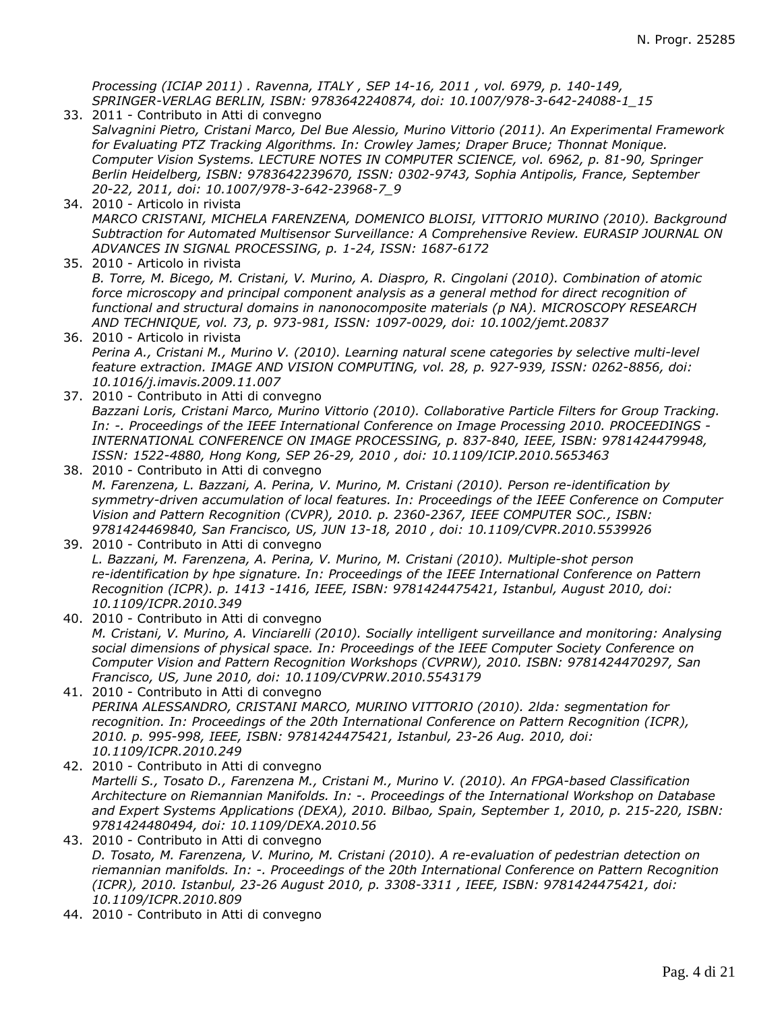*Processing (ICIAP 2011) . Ravenna, ITALY , SEP 14-16, 2011 , vol. 6979, p. 140-149, SPRINGER-VERLAG BERLIN, ISBN: 9783642240874, doi: 10.1007/978-3-642-24088-1\_15*

- 33. 2011 Contributo in Atti di convegno *Salvagnini Pietro, Cristani Marco, Del Bue Alessio, Murino Vittorio (2011). An Experimental Framework for Evaluating PTZ Tracking Algorithms. In: Crowley James; Draper Bruce; Thonnat Monique. Computer Vision Systems. LECTURE NOTES IN COMPUTER SCIENCE, vol. 6962, p. 81-90, Springer Berlin Heidelberg, ISBN: 9783642239670, ISSN: 0302-9743, Sophia Antipolis, France, September 20-22, 2011, doi: 10.1007/978-3-642-23968-7\_9*
- 34. 2010 Articolo in rivista *MARCO CRISTANI, MICHELA FARENZENA, DOMENICO BLOISI, VITTORIO MURINO (2010). Background Subtraction for Automated Multisensor Surveillance: A Comprehensive Review. EURASIP JOURNAL ON ADVANCES IN SIGNAL PROCESSING, p. 1-24, ISSN: 1687-6172*
- 35. 2010 Articolo in rivista *B. Torre, M. Bicego, M. Cristani, V. Murino, A. Diaspro, R. Cingolani (2010). Combination of atomic force microscopy and principal component analysis as a general method for direct recognition of functional and structural domains in nanonocomposite materials (p NA). MICROSCOPY RESEARCH AND TECHNIQUE, vol. 73, p. 973-981, ISSN: 1097-0029, doi: 10.1002/jemt.20837*
- 36. 2010 Articolo in rivista *Perina A., Cristani M., Murino V. (2010). Learning natural scene categories by selective multi-level feature extraction. IMAGE AND VISION COMPUTING, vol. 28, p. 927-939, ISSN: 0262-8856, doi: 10.1016/j.imavis.2009.11.007*
- 37. 2010 Contributo in Atti di convegno *Bazzani Loris, Cristani Marco, Murino Vittorio (2010). Collaborative Particle Filters for Group Tracking. In: -. Proceedings of the IEEE International Conference on Image Processing 2010. PROCEEDINGS - INTERNATIONAL CONFERENCE ON IMAGE PROCESSING, p. 837-840, IEEE, ISBN: 9781424479948, ISSN: 1522-4880, Hong Kong, SEP 26-29, 2010 , doi: 10.1109/ICIP.2010.5653463*
- 38. 2010 Contributo in Atti di convegno *M. Farenzena, L. Bazzani, A. Perina, V. Murino, M. Cristani (2010). Person re-identification by symmetry-driven accumulation of local features. In: Proceedings of the IEEE Conference on Computer Vision and Pattern Recognition (CVPR), 2010. p. 2360-2367, IEEE COMPUTER SOC., ISBN: 9781424469840, San Francisco, US, JUN 13-18, 2010 , doi: 10.1109/CVPR.2010.5539926*
- 39. 2010 Contributo in Atti di convegno *L. Bazzani, M. Farenzena, A. Perina, V. Murino, M. Cristani (2010). Multiple-shot person re-identification by hpe signature. In: Proceedings of the IEEE International Conference on Pattern Recognition (ICPR). p. 1413 -1416, IEEE, ISBN: 9781424475421, Istanbul, August 2010, doi: 10.1109/ICPR.2010.349*
- 40. 2010 Contributo in Atti di convegno *M. Cristani, V. Murino, A. Vinciarelli (2010). Socially intelligent surveillance and monitoring: Analysing social dimensions of physical space. In: Proceedings of the IEEE Computer Society Conference on Computer Vision and Pattern Recognition Workshops (CVPRW), 2010. ISBN: 9781424470297, San Francisco, US, June 2010, doi: 10.1109/CVPRW.2010.5543179*
- 41. 2010 Contributo in Atti di convegno *PERINA ALESSANDRO, CRISTANI MARCO, MURINO VITTORIO (2010). 2lda: segmentation for recognition. In: Proceedings of the 20th International Conference on Pattern Recognition (ICPR), 2010. p. 995-998, IEEE, ISBN: 9781424475421, Istanbul, 23-26 Aug. 2010, doi: 10.1109/ICPR.2010.249*
- 42. 2010 Contributo in Atti di convegno *Martelli S., Tosato D., Farenzena M., Cristani M., Murino V. (2010). An FPGA-based Classification Architecture on Riemannian Manifolds. In: -. Proceedings of the International Workshop on Database and Expert Systems Applications (DEXA), 2010. Bilbao, Spain, September 1, 2010, p. 215-220, ISBN: 9781424480494, doi: 10.1109/DEXA.2010.56*
- 43. 2010 Contributo in Atti di convegno *D. Tosato, M. Farenzena, V. Murino, M. Cristani (2010). A re-evaluation of pedestrian detection on riemannian manifolds. In: -. Proceedings of the 20th International Conference on Pattern Recognition (ICPR), 2010. Istanbul, 23-26 August 2010, p. 3308-3311 , IEEE, ISBN: 9781424475421, doi: 10.1109/ICPR.2010.809*
- 44. 2010 Contributo in Atti di convegno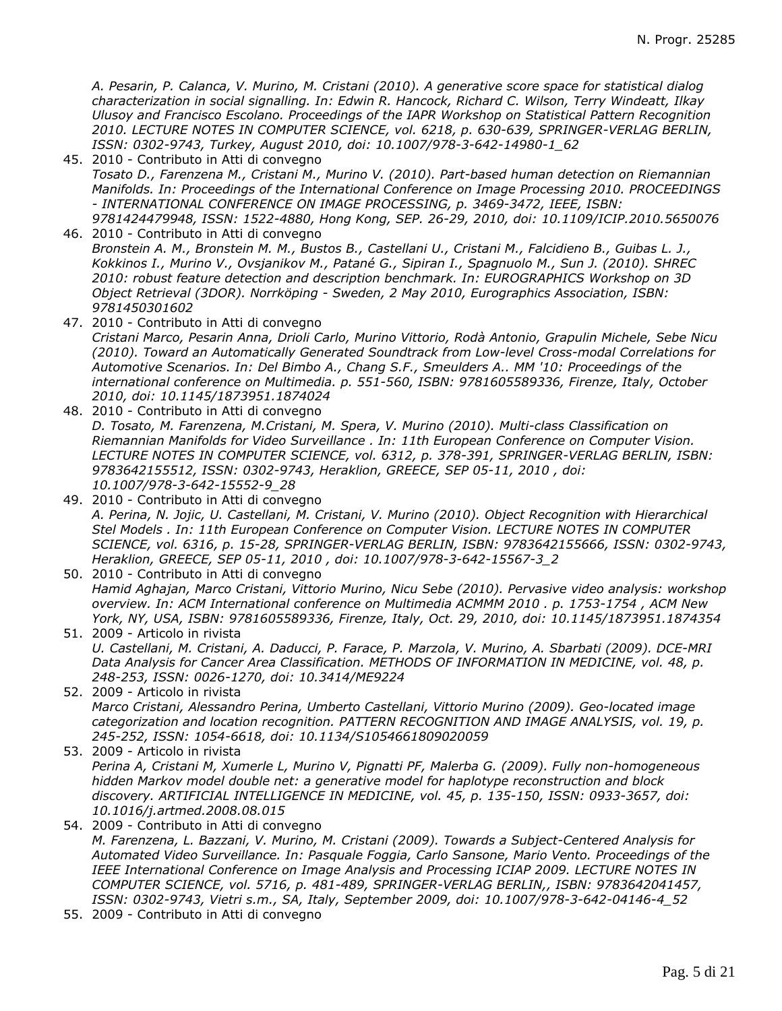*A. Pesarin, P. Calanca, V. Murino, M. Cristani (2010). A generative score space for statistical dialog characterization in social signalling. In: Edwin R. Hancock, Richard C. Wilson, Terry Windeatt, Ilkay Ulusoy and Francisco Escolano. Proceedings of the IAPR Workshop on Statistical Pattern Recognition 2010. LECTURE NOTES IN COMPUTER SCIENCE, vol. 6218, p. 630-639, SPRINGER-VERLAG BERLIN, ISSN: 0302-9743, Turkey, August 2010, doi: 10.1007/978-3-642-14980-1\_62*

- 45. 2010 Contributo in Atti di convegno *Tosato D., Farenzena M., Cristani M., Murino V. (2010). Part-based human detection on Riemannian Manifolds. In: Proceedings of the International Conference on Image Processing 2010. PROCEEDINGS - INTERNATIONAL CONFERENCE ON IMAGE PROCESSING, p. 3469-3472, IEEE, ISBN: 9781424479948, ISSN: 1522-4880, Hong Kong, SEP. 26-29, 2010, doi: 10.1109/ICIP.2010.5650076*
- 46. 2010 Contributo in Atti di convegno *Bronstein A. M., Bronstein M. M., Bustos B., Castellani U., Cristani M., Falcidieno B., Guibas L. J., Kokkinos I., Murino V., Ovsjanikov M., Patané G., Sipiran I., Spagnuolo M., Sun J. (2010). SHREC 2010: robust feature detection and description benchmark. In: EUROGRAPHICS Workshop on 3D Object Retrieval (3DOR). Norrköping - Sweden, 2 May 2010, Eurographics Association, ISBN: 9781450301602*
- 47. 2010 Contributo in Atti di convegno
	- *Cristani Marco, Pesarin Anna, Drioli Carlo, Murino Vittorio, Rodà Antonio, Grapulin Michele, Sebe Nicu (2010). Toward an Automatically Generated Soundtrack from Low-level Cross-modal Correlations for Automotive Scenarios. In: Del Bimbo A., Chang S.F., Smeulders A.. MM '10: Proceedings of the international conference on Multimedia. p. 551-560, ISBN: 9781605589336, Firenze, Italy, October 2010, doi: 10.1145/1873951.1874024*
- 48. 2010 Contributo in Atti di convegno *D. Tosato, M. Farenzena, M.Cristani, M. Spera, V. Murino (2010). Multi-class Classification on Riemannian Manifolds for Video Surveillance . In: 11th European Conference on Computer Vision. LECTURE NOTES IN COMPUTER SCIENCE, vol. 6312, p. 378-391, SPRINGER-VERLAG BERLIN, ISBN: 9783642155512, ISSN: 0302-9743, Heraklion, GREECE, SEP 05-11, 2010 , doi: 10.1007/978-3-642-15552-9\_28*
- 49. 2010 Contributo in Atti di convegno *A. Perina, N. Jojic, U. Castellani, M. Cristani, V. Murino (2010). Object Recognition with Hierarchical Stel Models . In: 11th European Conference on Computer Vision. LECTURE NOTES IN COMPUTER SCIENCE, vol. 6316, p. 15-28, SPRINGER-VERLAG BERLIN, ISBN: 9783642155666, ISSN: 0302-9743, Heraklion, GREECE, SEP 05-11, 2010 , doi: 10.1007/978-3-642-15567-3\_2*
- 50. 2010 Contributo in Atti di convegno *Hamid Aghajan, Marco Cristani, Vittorio Murino, Nicu Sebe (2010). Pervasive video analysis: workshop overview. In: ACM International conference on Multimedia ACMMM 2010 . p. 1753-1754 , ACM New York, NY, USA, ISBN: 9781605589336, Firenze, Italy, Oct. 29, 2010, doi: 10.1145/1873951.1874354*
- 51. 2009 Articolo in rivista *U. Castellani, M. Cristani, A. Daducci, P. Farace, P. Marzola, V. Murino, A. Sbarbati (2009). DCE-MRI Data Analysis for Cancer Area Classification. METHODS OF INFORMATION IN MEDICINE, vol. 48, p. 248-253, ISSN: 0026-1270, doi: 10.3414/ME9224*
- 52. 2009 Articolo in rivista *Marco Cristani, Alessandro Perina, Umberto Castellani, Vittorio Murino (2009). Geo-located image categorization and location recognition. PATTERN RECOGNITION AND IMAGE ANALYSIS, vol. 19, p. 245-252, ISSN: 1054-6618, doi: 10.1134/S1054661809020059*
- 53. 2009 Articolo in rivista *Perina A, Cristani M, Xumerle L, Murino V, Pignatti PF, Malerba G. (2009). Fully non-homogeneous hidden Markov model double net: a generative model for haplotype reconstruction and block discovery. ARTIFICIAL INTELLIGENCE IN MEDICINE, vol. 45, p. 135-150, ISSN: 0933-3657, doi: 10.1016/j.artmed.2008.08.015*
- 54. 2009 Contributo in Atti di convegno *M. Farenzena, L. Bazzani, V. Murino, M. Cristani (2009). Towards a Subject-Centered Analysis for Automated Video Surveillance. In: Pasquale Foggia, Carlo Sansone, Mario Vento. Proceedings of the IEEE International Conference on Image Analysis and Processing ICIAP 2009. LECTURE NOTES IN COMPUTER SCIENCE, vol. 5716, p. 481-489, SPRINGER-VERLAG BERLIN,, ISBN: 9783642041457, ISSN: 0302-9743, Vietri s.m., SA, Italy, September 2009, doi: 10.1007/978-3-642-04146-4\_52*
- 55. 2009 Contributo in Atti di convegno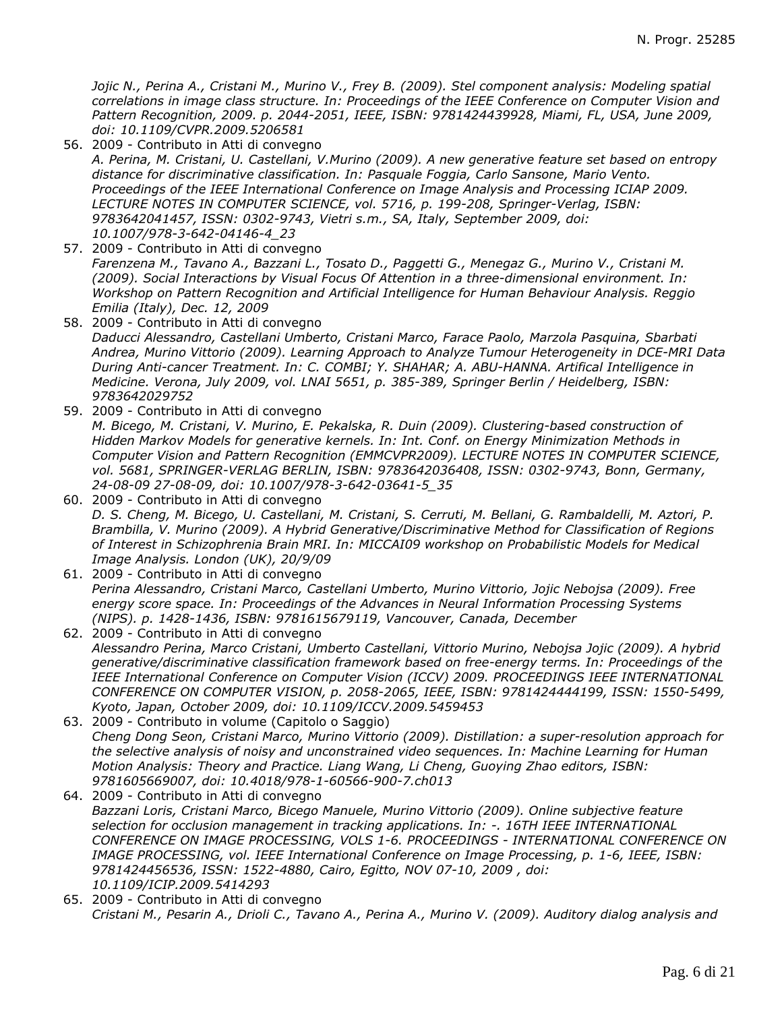*Jojic N., Perina A., Cristani M., Murino V., Frey B. (2009). Stel component analysis: Modeling spatial correlations in image class structure. In: Proceedings of the IEEE Conference on Computer Vision and Pattern Recognition, 2009. p. 2044-2051, IEEE, ISBN: 9781424439928, Miami, FL, USA, June 2009, doi: 10.1109/CVPR.2009.5206581*

- 56. 2009 Contributo in Atti di convegno *A. Perina, M. Cristani, U. Castellani, V.Murino (2009). A new generative feature set based on entropy distance for discriminative classification. In: Pasquale Foggia, Carlo Sansone, Mario Vento. Proceedings of the IEEE International Conference on Image Analysis and Processing ICIAP 2009. LECTURE NOTES IN COMPUTER SCIENCE, vol. 5716, p. 199-208, Springer-Verlag, ISBN: 9783642041457, ISSN: 0302-9743, Vietri s.m., SA, Italy, September 2009, doi: 10.1007/978-3-642-04146-4\_23*
- 57. 2009 Contributo in Atti di convegno *Farenzena M., Tavano A., Bazzani L., Tosato D., Paggetti G., Menegaz G., Murino V., Cristani M. (2009). Social Interactions by Visual Focus Of Attention in a three-dimensional environment. In: Workshop on Pattern Recognition and Artificial Intelligence for Human Behaviour Analysis. Reggio Emilia (Italy), Dec. 12, 2009*
- 58. 2009 Contributo in Atti di convegno *Daducci Alessandro, Castellani Umberto, Cristani Marco, Farace Paolo, Marzola Pasquina, Sbarbati Andrea, Murino Vittorio (2009). Learning Approach to Analyze Tumour Heterogeneity in DCE-MRI Data During Anti-cancer Treatment. In: C. COMBI; Y. SHAHAR; A. ABU-HANNA. Artifical Intelligence in Medicine. Verona, July 2009, vol. LNAI 5651, p. 385-389, Springer Berlin / Heidelberg, ISBN: 9783642029752*
- 59. 2009 Contributo in Atti di convegno *M. Bicego, M. Cristani, V. Murino, E. Pekalska, R. Duin (2009). Clustering-based construction of Hidden Markov Models for generative kernels. In: Int. Conf. on Energy Minimization Methods in Computer Vision and Pattern Recognition (EMMCVPR2009). LECTURE NOTES IN COMPUTER SCIENCE, vol. 5681, SPRINGER-VERLAG BERLIN, ISBN: 9783642036408, ISSN: 0302-9743, Bonn, Germany, 24-08-09 27-08-09, doi: 10.1007/978-3-642-03641-5\_35*
- 60. 2009 Contributo in Atti di convegno *D. S. Cheng, M. Bicego, U. Castellani, M. Cristani, S. Cerruti, M. Bellani, G. Rambaldelli, M. Aztori, P. Brambilla, V. Murino (2009). A Hybrid Generative/Discriminative Method for Classification of Regions of Interest in Schizophrenia Brain MRI. In: MICCAI09 workshop on Probabilistic Models for Medical Image Analysis. London (UK), 20/9/09*
- 61. 2009 Contributo in Atti di convegno *Perina Alessandro, Cristani Marco, Castellani Umberto, Murino Vittorio, Jojic Nebojsa (2009). Free energy score space. In: Proceedings of the Advances in Neural Information Processing Systems (NIPS). p. 1428-1436, ISBN: 9781615679119, Vancouver, Canada, December*
- 62. 2009 Contributo in Atti di convegno *Alessandro Perina, Marco Cristani, Umberto Castellani, Vittorio Murino, Nebojsa Jojic (2009). A hybrid generative/discriminative classification framework based on free-energy terms. In: Proceedings of the IEEE International Conference on Computer Vision (ICCV) 2009. PROCEEDINGS IEEE INTERNATIONAL CONFERENCE ON COMPUTER VISION, p. 2058-2065, IEEE, ISBN: 9781424444199, ISSN: 1550-5499, Kyoto, Japan, October 2009, doi: 10.1109/ICCV.2009.5459453*
- 63. 2009 Contributo in volume (Capitolo o Saggio) *Cheng Dong Seon, Cristani Marco, Murino Vittorio (2009). Distillation: a super-resolution approach for the selective analysis of noisy and unconstrained video sequences. In: Machine Learning for Human Motion Analysis: Theory and Practice. Liang Wang, Li Cheng, Guoying Zhao editors, ISBN: 9781605669007, doi: 10.4018/978-1-60566-900-7.ch013*
- 64. 2009 Contributo in Atti di convegno *Bazzani Loris, Cristani Marco, Bicego Manuele, Murino Vittorio (2009). Online subjective feature selection for occlusion management in tracking applications. In: -. 16TH IEEE INTERNATIONAL CONFERENCE ON IMAGE PROCESSING, VOLS 1-6. PROCEEDINGS - INTERNATIONAL CONFERENCE ON IMAGE PROCESSING, vol. IEEE International Conference on Image Processing, p. 1-6, IEEE, ISBN: 9781424456536, ISSN: 1522-4880, Cairo, Egitto, NOV 07-10, 2009 , doi: 10.1109/ICIP.2009.5414293*
- 65. 2009 Contributo in Atti di convegno *Cristani M., Pesarin A., Drioli C., Tavano A., Perina A., Murino V. (2009). Auditory dialog analysis and*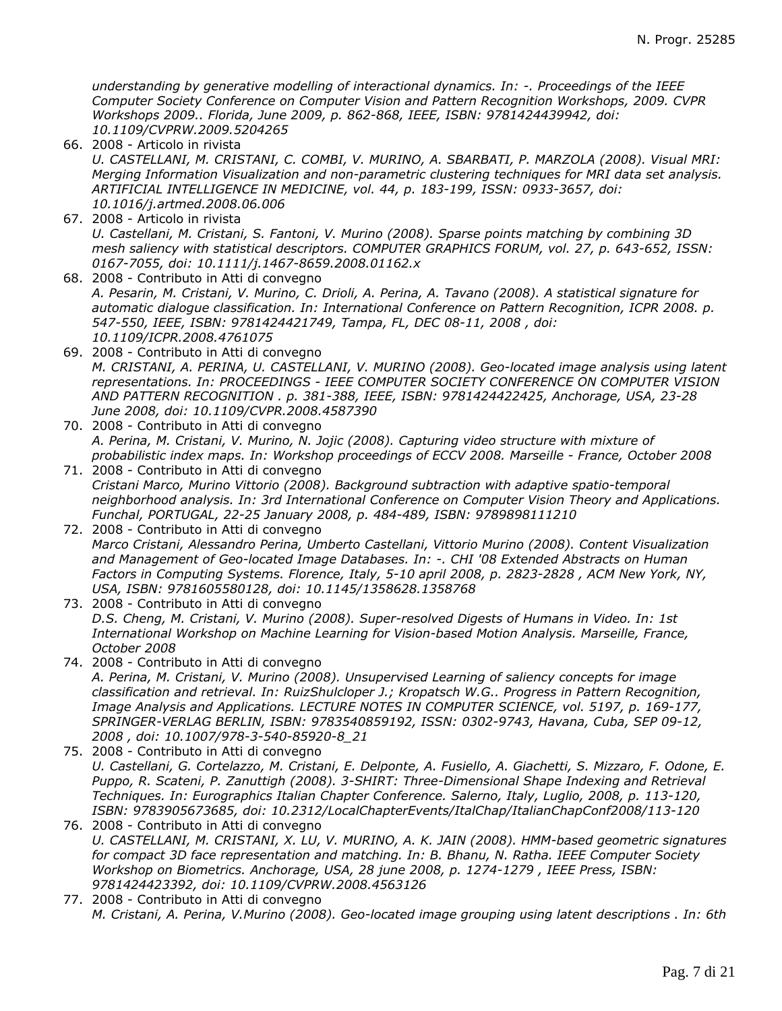*understanding by generative modelling of interactional dynamics. In: -. Proceedings of the IEEE Computer Society Conference on Computer Vision and Pattern Recognition Workshops, 2009. CVPR Workshops 2009.. Florida, June 2009, p. 862-868, IEEE, ISBN: 9781424439942, doi: 10.1109/CVPRW.2009.5204265*

- 66. 2008 Articolo in rivista *U. CASTELLANI, M. CRISTANI, C. COMBI, V. MURINO, A. SBARBATI, P. MARZOLA (2008). Visual MRI: Merging Information Visualization and non-parametric clustering techniques for MRI data set analysis. ARTIFICIAL INTELLIGENCE IN MEDICINE, vol. 44, p. 183-199, ISSN: 0933-3657, doi: 10.1016/j.artmed.2008.06.006*
- 67. 2008 Articolo in rivista *U. Castellani, M. Cristani, S. Fantoni, V. Murino (2008). Sparse points matching by combining 3D mesh saliency with statistical descriptors. COMPUTER GRAPHICS FORUM, vol. 27, p. 643-652, ISSN: 0167-7055, doi: 10.1111/j.1467-8659.2008.01162.x*
- 68. 2008 Contributo in Atti di convegno *A. Pesarin, M. Cristani, V. Murino, C. Drioli, A. Perina, A. Tavano (2008). A statistical signature for automatic dialogue classification. In: International Conference on Pattern Recognition, ICPR 2008. p. 547-550, IEEE, ISBN: 9781424421749, Tampa, FL, DEC 08-11, 2008 , doi: 10.1109/ICPR.2008.4761075*
- 69. 2008 Contributo in Atti di convegno *M. CRISTANI, A. PERINA, U. CASTELLANI, V. MURINO (2008). Geo-located image analysis using latent representations. In: PROCEEDINGS - IEEE COMPUTER SOCIETY CONFERENCE ON COMPUTER VISION AND PATTERN RECOGNITION . p. 381-388, IEEE, ISBN: 9781424422425, Anchorage, USA, 23-28 June 2008, doi: 10.1109/CVPR.2008.4587390*
- 70. 2008 Contributo in Atti di convegno *A. Perina, M. Cristani, V. Murino, N. Jojic (2008). Capturing video structure with mixture of probabilistic index maps. In: Workshop proceedings of ECCV 2008. Marseille - France, October 2008*
- 71. 2008 Contributo in Atti di convegno *Cristani Marco, Murino Vittorio (2008). Background subtraction with adaptive spatio-temporal neighborhood analysis. In: 3rd International Conference on Computer Vision Theory and Applications. Funchal, PORTUGAL, 22-25 January 2008, p. 484-489, ISBN: 9789898111210*
- 72. 2008 Contributo in Atti di convegno *Marco Cristani, Alessandro Perina, Umberto Castellani, Vittorio Murino (2008). Content Visualization and Management of Geo-located Image Databases. In: -. CHI '08 Extended Abstracts on Human Factors in Computing Systems. Florence, Italy, 5-10 april 2008, p. 2823-2828 , ACM New York, NY, USA, ISBN: 9781605580128, doi: 10.1145/1358628.1358768*
- 73. 2008 Contributo in Atti di convegno *D.S. Cheng, M. Cristani, V. Murino (2008). Super-resolved Digests of Humans in Video. In: 1st International Workshop on Machine Learning for Vision-based Motion Analysis. Marseille, France, October 2008*
- 74. 2008 Contributo in Atti di convegno *A. Perina, M. Cristani, V. Murino (2008). Unsupervised Learning of saliency concepts for image classification and retrieval. In: RuizShulcloper J.; Kropatsch W.G.. Progress in Pattern Recognition, Image Analysis and Applications. LECTURE NOTES IN COMPUTER SCIENCE, vol. 5197, p. 169-177, SPRINGER-VERLAG BERLIN, ISBN: 9783540859192, ISSN: 0302-9743, Havana, Cuba, SEP 09-12, 2008 , doi: 10.1007/978-3-540-85920-8\_21*
- 75. 2008 Contributo in Atti di convegno *U. Castellani, G. Cortelazzo, M. Cristani, E. Delponte, A. Fusiello, A. Giachetti, S. Mizzaro, F. Odone, E. Puppo, R. Scateni, P. Zanuttigh (2008). 3-SHIRT: Three-Dimensional Shape Indexing and Retrieval Techniques. In: Eurographics Italian Chapter Conference. Salerno, Italy, Luglio, 2008, p. 113-120, ISBN: 9783905673685, doi: 10.2312/LocalChapterEvents/ItalChap/ItalianChapConf2008/113-120*
- 76. 2008 Contributo in Atti di convegno *U. CASTELLANI, M. CRISTANI, X. LU, V. MURINO, A. K. JAIN (2008). HMM-based geometric signatures for compact 3D face representation and matching. In: B. Bhanu, N. Ratha. IEEE Computer Society Workshop on Biometrics. Anchorage, USA, 28 june 2008, p. 1274-1279 , IEEE Press, ISBN: 9781424423392, doi: 10.1109/CVPRW.2008.4563126*
- 77. 2008 Contributo in Atti di convegno *M. Cristani, A. Perina, V.Murino (2008). Geo-located image grouping using latent descriptions . In: 6th*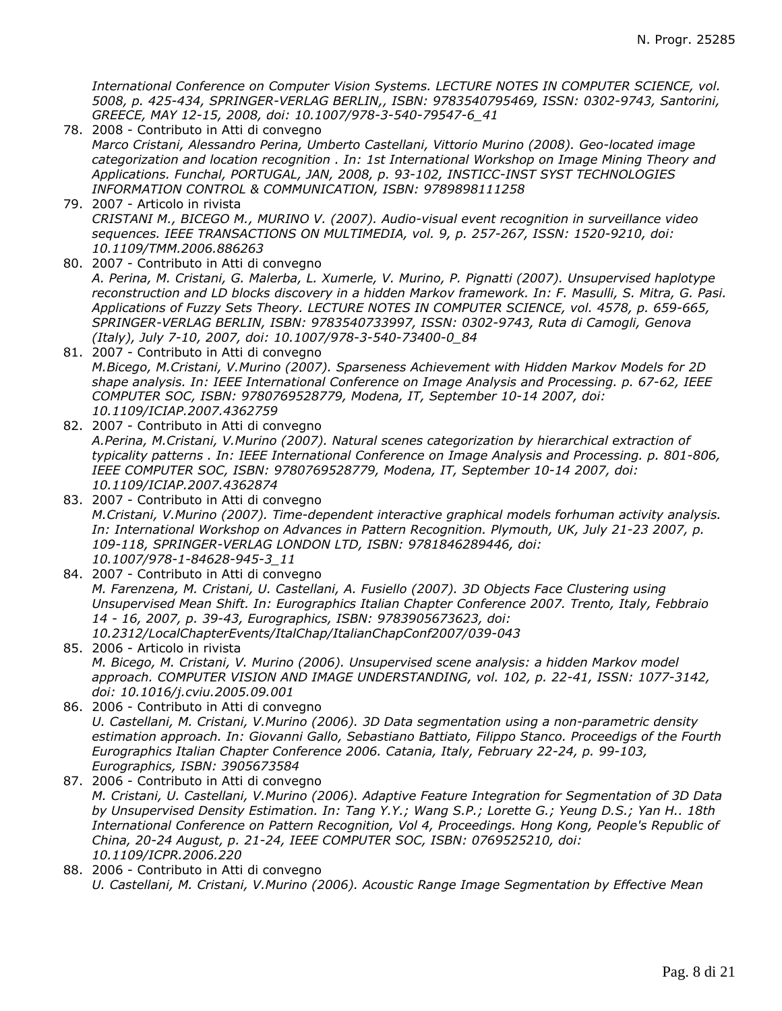*International Conference on Computer Vision Systems. LECTURE NOTES IN COMPUTER SCIENCE, vol. 5008, p. 425-434, SPRINGER-VERLAG BERLIN,, ISBN: 9783540795469, ISSN: 0302-9743, Santorini, GREECE, MAY 12-15, 2008, doi: 10.1007/978-3-540-79547-6\_41*

- 78. 2008 Contributo in Atti di convegno *Marco Cristani, Alessandro Perina, Umberto Castellani, Vittorio Murino (2008). Geo-located image categorization and location recognition . In: 1st International Workshop on Image Mining Theory and Applications. Funchal, PORTUGAL, JAN, 2008, p. 93-102, INSTICC-INST SYST TECHNOLOGIES INFORMATION CONTROL & COMMUNICATION, ISBN: 9789898111258*
- 79. 2007 Articolo in rivista *CRISTANI M., BICEGO M., MURINO V. (2007). Audio-visual event recognition in surveillance video sequences. IEEE TRANSACTIONS ON MULTIMEDIA, vol. 9, p. 257-267, ISSN: 1520-9210, doi: 10.1109/TMM.2006.886263*
- 80. 2007 Contributo in Atti di convegno *A. Perina, M. Cristani, G. Malerba, L. Xumerle, V. Murino, P. Pignatti (2007). Unsupervised haplotype reconstruction and LD blocks discovery in a hidden Markov framework. In: F. Masulli, S. Mitra, G. Pasi. Applications of Fuzzy Sets Theory. LECTURE NOTES IN COMPUTER SCIENCE, vol. 4578, p. 659-665, SPRINGER-VERLAG BERLIN, ISBN: 9783540733997, ISSN: 0302-9743, Ruta di Camogli, Genova (Italy), July 7-10, 2007, doi: 10.1007/978-3-540-73400-0\_84*
- 81. 2007 Contributo in Atti di convegno *M.Bicego, M.Cristani, V.Murino (2007). Sparseness Achievement with Hidden Markov Models for 2D shape analysis. In: IEEE International Conference on Image Analysis and Processing. p. 67-62, IEEE COMPUTER SOC, ISBN: 9780769528779, Modena, IT, September 10-14 2007, doi: 10.1109/ICIAP.2007.4362759*
- 82. 2007 Contributo in Atti di convegno *A.Perina, M.Cristani, V.Murino (2007). Natural scenes categorization by hierarchical extraction of typicality patterns . In: IEEE International Conference on Image Analysis and Processing. p. 801-806, IEEE COMPUTER SOC, ISBN: 9780769528779, Modena, IT, September 10-14 2007, doi: 10.1109/ICIAP.2007.4362874*
- 83. 2007 Contributo in Atti di convegno *M.Cristani, V.Murino (2007). Time-dependent interactive graphical models forhuman activity analysis. In: International Workshop on Advances in Pattern Recognition. Plymouth, UK, July 21-23 2007, p. 109-118, SPRINGER-VERLAG LONDON LTD, ISBN: 9781846289446, doi: 10.1007/978-1-84628-945-3\_11*
- 84. 2007 Contributo in Atti di convegno *M. Farenzena, M. Cristani, U. Castellani, A. Fusiello (2007). 3D Objects Face Clustering using Unsupervised Mean Shift. In: Eurographics Italian Chapter Conference 2007. Trento, Italy, Febbraio 14 - 16, 2007, p. 39-43, Eurographics, ISBN: 9783905673623, doi: 10.2312/LocalChapterEvents/ItalChap/ItalianChapConf2007/039-043*
- 85. 2006 Articolo in rivista *M. Bicego, M. Cristani, V. Murino (2006). Unsupervised scene analysis: a hidden Markov model approach. COMPUTER VISION AND IMAGE UNDERSTANDING, vol. 102, p. 22-41, ISSN: 1077-3142, doi: 10.1016/j.cviu.2005.09.001*
- 86. 2006 Contributo in Atti di convegno *U. Castellani, M. Cristani, V.Murino (2006). 3D Data segmentation using a non-parametric density estimation approach. In: Giovanni Gallo, Sebastiano Battiato, Filippo Stanco. Proceedigs of the Fourth Eurographics Italian Chapter Conference 2006. Catania, Italy, February 22-24, p. 99-103, Eurographics, ISBN: 3905673584*
- 87. 2006 Contributo in Atti di convegno *M. Cristani, U. Castellani, V.Murino (2006). Adaptive Feature Integration for Segmentation of 3D Data by Unsupervised Density Estimation. In: Tang Y.Y.; Wang S.P.; Lorette G.; Yeung D.S.; Yan H.. 18th International Conference on Pattern Recognition, Vol 4, Proceedings. Hong Kong, People's Republic of China, 20-24 August, p. 21-24, IEEE COMPUTER SOC, ISBN: 0769525210, doi: 10.1109/ICPR.2006.220*
- 88. 2006 Contributo in Atti di convegno *U. Castellani, M. Cristani, V.Murino (2006). Acoustic Range Image Segmentation by Effective Mean*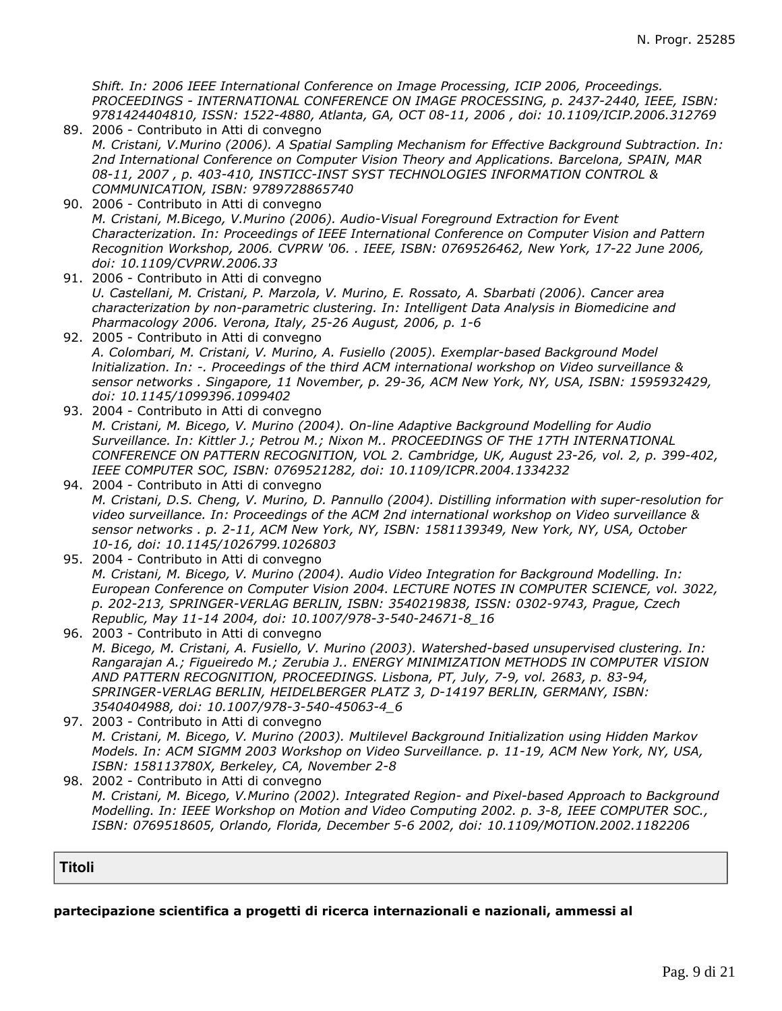*Shift. In: 2006 IEEE International Conference on Image Processing, ICIP 2006, Proceedings. PROCEEDINGS - INTERNATIONAL CONFERENCE ON IMAGE PROCESSING, p. 2437-2440, IEEE, ISBN: 9781424404810, ISSN: 1522-4880, Atlanta, GA, OCT 08-11, 2006 , doi: 10.1109/ICIP.2006.312769*

- 89. 2006 Contributo in Atti di convegno *M. Cristani, V.Murino (2006). A Spatial Sampling Mechanism for Effective Background Subtraction. In: 2nd International Conference on Computer Vision Theory and Applications. Barcelona, SPAIN, MAR 08-11, 2007 , p. 403-410, INSTICC-INST SYST TECHNOLOGIES INFORMATION CONTROL & COMMUNICATION, ISBN: 9789728865740*
- 90. 2006 Contributo in Atti di convegno *M. Cristani, M.Bicego, V.Murino (2006). Audio-Visual Foreground Extraction for Event Characterization. In: Proceedings of IEEE International Conference on Computer Vision and Pattern Recognition Workshop, 2006. CVPRW '06. . IEEE, ISBN: 0769526462, New York, 17-22 June 2006, doi: 10.1109/CVPRW.2006.33*
- 91. 2006 Contributo in Atti di convegno *U. Castellani, M. Cristani, P. Marzola, V. Murino, E. Rossato, A. Sbarbati (2006). Cancer area characterization by non-parametric clustering. In: Intelligent Data Analysis in Biomedicine and Pharmacology 2006. Verona, Italy, 25-26 August, 2006, p. 1-6*
- 92. 2005 Contributo in Atti di convegno *A. Colombari, M. Cristani, V. Murino, A. Fusiello (2005). Exemplar-based Background Model lnitialization. In: -. Proceedings of the third ACM international workshop on Video surveillance & sensor networks . Singapore, 11 November, p. 29-36, ACM New York, NY, USA, ISBN: 1595932429, doi: 10.1145/1099396.1099402*
- 93. 2004 Contributo in Atti di convegno *M. Cristani, M. Bicego, V. Murino (2004). On-line Adaptive Background Modelling for Audio Surveillance. In: Kittler J.; Petrou M.; Nixon M.. PROCEEDINGS OF THE 17TH INTERNATIONAL CONFERENCE ON PATTERN RECOGNITION, VOL 2. Cambridge, UK, August 23-26, vol. 2, p. 399-402, IEEE COMPUTER SOC, ISBN: 0769521282, doi: 10.1109/ICPR.2004.1334232*
- 94. 2004 Contributo in Atti di convegno *M. Cristani, D.S. Cheng, V. Murino, D. Pannullo (2004). Distilling information with super-resolution for video surveillance. In: Proceedings of the ACM 2nd international workshop on Video surveillance & sensor networks . p. 2-11, ACM New York, NY, ISBN: 1581139349, New York, NY, USA, October 10-16, doi: 10.1145/1026799.1026803*
- 95. 2004 Contributo in Atti di convegno *M. Cristani, M. Bicego, V. Murino (2004). Audio Video Integration for Background Modelling. In: European Conference on Computer Vision 2004. LECTURE NOTES IN COMPUTER SCIENCE, vol. 3022, p. 202-213, SPRINGER-VERLAG BERLIN, ISBN: 3540219838, ISSN: 0302-9743, Prague, Czech Republic, May 11-14 2004, doi: 10.1007/978-3-540-24671-8\_16*
- 96. 2003 Contributo in Atti di convegno *M. Bicego, M. Cristani, A. Fusiello, V. Murino (2003). Watershed-based unsupervised clustering. In: Rangarajan A.; Figueiredo M.; Zerubia J.. ENERGY MINIMIZATION METHODS IN COMPUTER VISION AND PATTERN RECOGNITION, PROCEEDINGS. Lisbona, PT, July, 7-9, vol. 2683, p. 83-94, SPRINGER-VERLAG BERLIN, HEIDELBERGER PLATZ 3, D-14197 BERLIN, GERMANY, ISBN: 3540404988, doi: 10.1007/978-3-540-45063-4\_6*
- 97. 2003 Contributo in Atti di convegno *M. Cristani, M. Bicego, V. Murino (2003). Multilevel Background Initialization using Hidden Markov Models. In: ACM SIGMM 2003 Workshop on Video Surveillance. p. 11-19, ACM New York, NY, USA, ISBN: 158113780X, Berkeley, CA, November 2-8*
- 98. 2002 Contributo in Atti di convegno *M. Cristani, M. Bicego, V.Murino (2002). Integrated Region- and Pixel-based Approach to Background Modelling. In: IEEE Workshop on Motion and Video Computing 2002. p. 3-8, IEEE COMPUTER SOC., ISBN: 0769518605, Orlando, Florida, December 5-6 2002, doi: 10.1109/MOTION.2002.1182206*

**Titoli**

**partecipazione scientifica a progetti di ricerca internazionali e nazionali, ammessi al**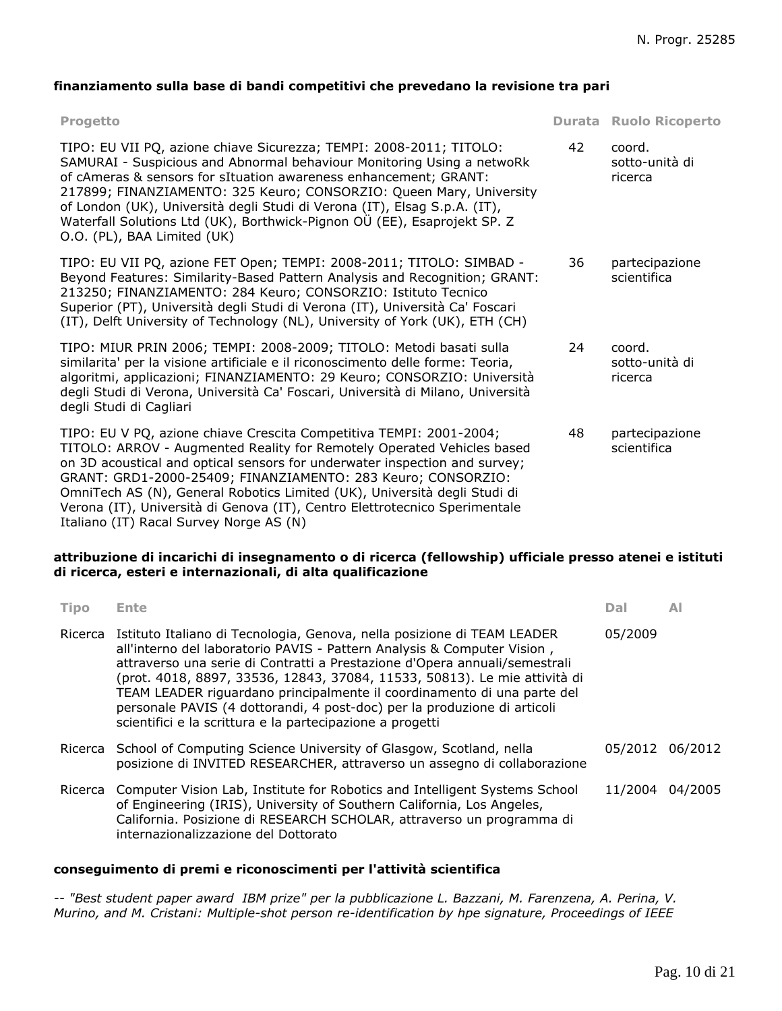# **finanziamento sulla base di bandi competitivi che prevedano la revisione tra pari**

| <b>Progetto</b>                                                                                                                                                                                                                                                                                                                                                                                                                                                                                   |    | <b>Durata Ruolo Ricoperto</b>       |
|---------------------------------------------------------------------------------------------------------------------------------------------------------------------------------------------------------------------------------------------------------------------------------------------------------------------------------------------------------------------------------------------------------------------------------------------------------------------------------------------------|----|-------------------------------------|
| TIPO: EU VII PQ, azione chiave Sicurezza; TEMPI: 2008-2011; TITOLO:<br>SAMURAI - Suspicious and Abnormal behaviour Monitoring Using a netwoRk<br>of cAmeras & sensors for sItuation awareness enhancement; GRANT:<br>217899; FINANZIAMENTO: 325 Keuro; CONSORZIO: Queen Mary, University<br>of London (UK), Università degli Studi di Verona (IT), Elsag S.p.A. (IT),<br>Waterfall Solutions Ltd (UK), Borthwick-Pignon OÜ (EE), Esaprojekt SP. Z<br>O.O. (PL), BAA Limited (UK)                  | 42 | coord.<br>sotto-unità di<br>ricerca |
| TIPO: EU VII PQ, azione FET Open; TEMPI: 2008-2011; TITOLO: SIMBAD -<br>Beyond Features: Similarity-Based Pattern Analysis and Recognition; GRANT:<br>213250; FINANZIAMENTO: 284 Keuro; CONSORZIO: Istituto Tecnico<br>Superior (PT), Università degli Studi di Verona (IT), Università Ca' Foscari<br>(IT), Delft University of Technology (NL), University of York (UK), ETH (CH)                                                                                                               | 36 | partecipazione<br>scientifica       |
| TIPO: MIUR PRIN 2006; TEMPI: 2008-2009; TITOLO: Metodi basati sulla<br>similarita' per la visione artificiale e il riconoscimento delle forme: Teoria,<br>algoritmi, applicazioni; FINANZIAMENTO: 29 Keuro; CONSORZIO: Università<br>degli Studi di Verona, Università Ca' Foscari, Università di Milano, Università<br>degli Studi di Cagliari                                                                                                                                                   | 24 | coord.<br>sotto-unità di<br>ricerca |
| TIPO: EU V PQ, azione chiave Crescita Competitiva TEMPI: 2001-2004;<br>TITOLO: ARROV - Augmented Reality for Remotely Operated Vehicles based<br>on 3D acoustical and optical sensors for underwater inspection and survey;<br>GRANT: GRD1-2000-25409; FINANZIAMENTO: 283 Keuro; CONSORZIO:<br>OmniTech AS (N), General Robotics Limited (UK), Università degli Studi di<br>Verona (IT), Università di Genova (IT), Centro Elettrotecnico Sperimentale<br>Italiano (IT) Racal Survey Norge AS (N) | 48 | partecipazione<br>scientifica       |

## **attribuzione di incarichi di insegnamento o di ricerca (fellowship) ufficiale presso atenei e istituti di ricerca, esteri e internazionali, di alta qualificazione**

| <b>Tipo</b> | Ente                                                                                                                                                                                                                                                                                                                                                                                                                                                                                                                                      | Dal     | AI              |
|-------------|-------------------------------------------------------------------------------------------------------------------------------------------------------------------------------------------------------------------------------------------------------------------------------------------------------------------------------------------------------------------------------------------------------------------------------------------------------------------------------------------------------------------------------------------|---------|-----------------|
|             | Ricerca Istituto Italiano di Tecnologia, Genova, nella posizione di TEAM LEADER<br>all'interno del laboratorio PAVIS - Pattern Analysis & Computer Vision,<br>attraverso una serie di Contratti a Prestazione d'Opera annuali/semestrali<br>(prot. 4018, 8897, 33536, 12843, 37084, 11533, 50813). Le mie attività di<br>TEAM LEADER riguardano principalmente il coordinamento di una parte del<br>personale PAVIS (4 dottorandi, 4 post-doc) per la produzione di articoli<br>scientifici e la scrittura e la partecipazione a progetti | 05/2009 |                 |
|             | Ricerca School of Computing Science University of Glasgow, Scotland, nella<br>posizione di INVITED RESEARCHER, attraverso un assegno di collaborazione                                                                                                                                                                                                                                                                                                                                                                                    |         | 05/2012 06/2012 |
| Ricerca     | Computer Vision Lab, Institute for Robotics and Intelligent Systems School<br>of Engineering (IRIS), University of Southern California, Los Angeles,<br>California. Posizione di RESEARCH SCHOLAR, attraverso un programma di<br>internazionalizzazione del Dottorato                                                                                                                                                                                                                                                                     |         | 11/2004 04/2005 |

## **conseguimento di premi e riconoscimenti per l'attività scientifica**

*-- "Best student paper award IBM prize" per la pubblicazione L. Bazzani, M. Farenzena, A. Perina, V. Murino, and M. Cristani: Multiple-shot person re-identification by hpe signature, Proceedings of IEEE*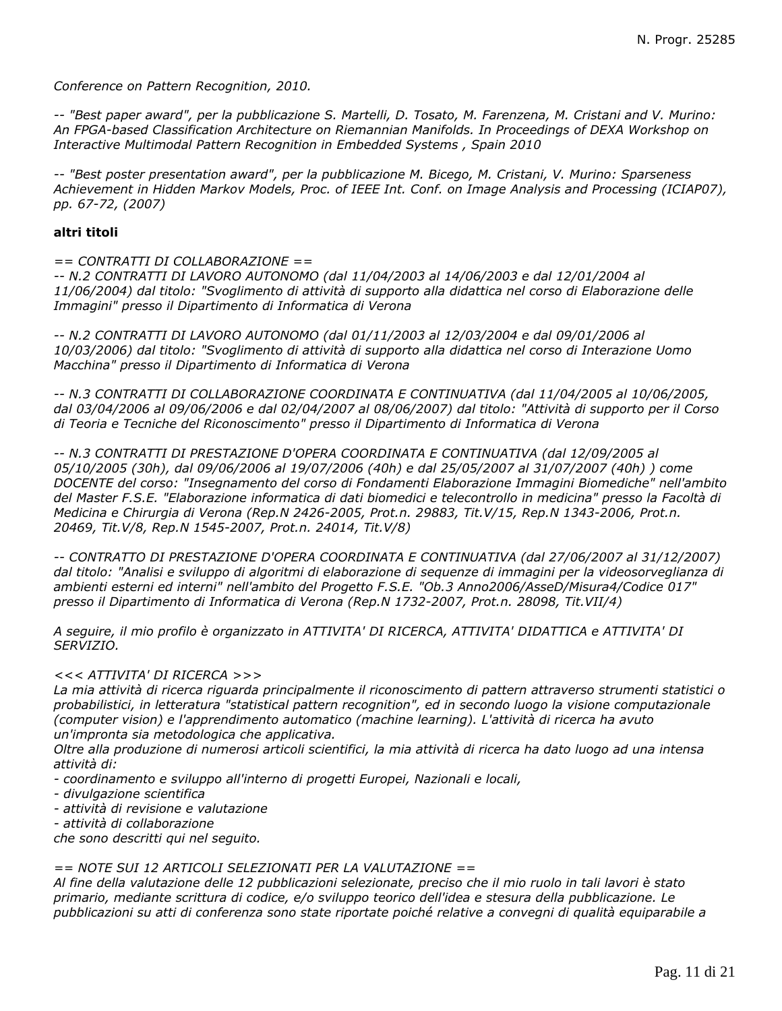*Conference on Pattern Recognition, 2010.*

*-- "Best paper award", per la pubblicazione S. Martelli, D. Tosato, M. Farenzena, M. Cristani and V. Murino: An FPGA-based Classification Architecture on Riemannian Manifolds. In Proceedings of DEXA Workshop on Interactive Multimodal Pattern Recognition in Embedded Systems , Spain 2010*

*-- "Best poster presentation award", per la pubblicazione M. Bicego, M. Cristani, V. Murino: Sparseness Achievement in Hidden Markov Models, Proc. of IEEE Int. Conf. on Image Analysis and Processing (ICIAP07), pp. 67-72, (2007)*

#### **altri titoli**

*== CONTRATTI DI COLLABORAZIONE ==*

*-- N.2 CONTRATTI DI LAVORO AUTONOMO (dal 11/04/2003 al 14/06/2003 e dal 12/01/2004 al 11/06/2004) dal titolo: "Svoglimento di attività di supporto alla didattica nel corso di Elaborazione delle Immagini" presso il Dipartimento di Informatica di Verona*

*-- N.2 CONTRATTI DI LAVORO AUTONOMO (dal 01/11/2003 al 12/03/2004 e dal 09/01/2006 al 10/03/2006) dal titolo: "Svoglimento di attività di supporto alla didattica nel corso di Interazione Uomo Macchina" presso il Dipartimento di Informatica di Verona*

*-- N.3 CONTRATTI DI COLLABORAZIONE COORDINATA E CONTINUATIVA (dal 11/04/2005 al 10/06/2005, dal 03/04/2006 al 09/06/2006 e dal 02/04/2007 al 08/06/2007) dal titolo: "Attività di supporto per il Corso di Teoria e Tecniche del Riconoscimento" presso il Dipartimento di Informatica di Verona*

*-- N.3 CONTRATTI DI PRESTAZIONE D'OPERA COORDINATA E CONTINUATIVA (dal 12/09/2005 al 05/10/2005 (30h), dal 09/06/2006 al 19/07/2006 (40h) e dal 25/05/2007 al 31/07/2007 (40h) ) come DOCENTE del corso: "Insegnamento del corso di Fondamenti Elaborazione Immagini Biomediche" nell'ambito del Master F.S.E. "Elaborazione informatica di dati biomedici e telecontrollo in medicina" presso la Facoltà di Medicina e Chirurgia di Verona (Rep.N 2426-2005, Prot.n. 29883, Tit.V/15, Rep.N 1343-2006, Prot.n. 20469, Tit.V/8, Rep.N 1545-2007, Prot.n. 24014, Tit.V/8)*

*-- CONTRATTO DI PRESTAZIONE D'OPERA COORDINATA E CONTINUATIVA (dal 27/06/2007 al 31/12/2007) dal titolo: "Analisi e sviluppo di algoritmi di elaborazione di sequenze di immagini per la videosorveglianza di ambienti esterni ed interni" nell'ambito del Progetto F.S.E. "Ob.3 Anno2006/AsseD/Misura4/Codice 017" presso il Dipartimento di Informatica di Verona (Rep.N 1732-2007, Prot.n. 28098, Tit.VII/4)*

*A seguire, il mio profilo è organizzato in ATTIVITA' DI RICERCA, ATTIVITA' DIDATTICA e ATTIVITA' DI SERVIZIO.*

#### *<<< ATTIVITA' DI RICERCA >>>*

*La mia attività di ricerca riguarda principalmente il riconoscimento di pattern attraverso strumenti statistici o probabilistici, in letteratura "statistical pattern recognition", ed in secondo luogo la visione computazionale (computer vision) e l'apprendimento automatico (machine learning). L'attività di ricerca ha avuto un'impronta sia metodologica che applicativa.*

*Oltre alla produzione di numerosi articoli scientifici, la mia attività di ricerca ha dato luogo ad una intensa attività di:*

*- coordinamento e sviluppo all'interno di progetti Europei, Nazionali e locali,*

- *divulgazione scientifica*
- *attività di revisione e valutazione*

*- attività di collaborazione*

*che sono descritti qui nel seguito.*

### *== NOTE SUI 12 ARTICOLI SELEZIONATI PER LA VALUTAZIONE ==*

*Al fine della valutazione delle 12 pubblicazioni selezionate, preciso che il mio ruolo in tali lavori è stato primario, mediante scrittura di codice, e/o sviluppo teorico dell'idea e stesura della pubblicazione. Le pubblicazioni su atti di conferenza sono state riportate poiché relative a convegni di qualità equiparabile a*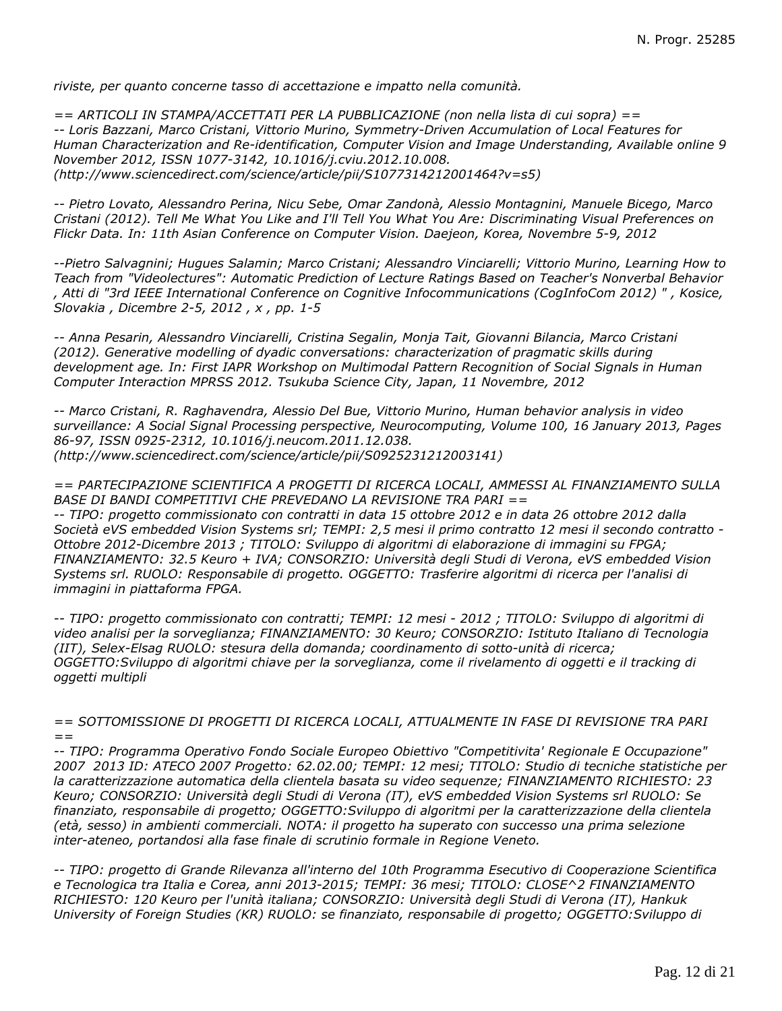*riviste, per quanto concerne tasso di accettazione e impatto nella comunità.*

*== ARTICOLI IN STAMPA/ACCETTATI PER LA PUBBLICAZIONE (non nella lista di cui sopra) == -- Loris Bazzani, Marco Cristani, Vittorio Murino, Symmetry-Driven Accumulation of Local Features for Human Characterization and Re-identification, Computer Vision and Image Understanding, Available online 9 November 2012, ISSN 1077-3142, 10.1016/j.cviu.2012.10.008. (http://www.sciencedirect.com/science/article/pii/S1077314212001464?v=s5)*

*-- Pietro Lovato, Alessandro Perina, Nicu Sebe, Omar Zandonà, Alessio Montagnini, Manuele Bicego, Marco Cristani (2012). Tell Me What You Like and I'll Tell You What You Are: Discriminating Visual Preferences on Flickr Data. In: 11th Asian Conference on Computer Vision. Daejeon, Korea, Novembre 5-9, 2012*

*--Pietro Salvagnini; Hugues Salamin; Marco Cristani; Alessandro Vinciarelli; Vittorio Murino, Learning How to Teach from "Videolectures": Automatic Prediction of Lecture Ratings Based on Teacher's Nonverbal Behavior , Atti di "3rd IEEE International Conference on Cognitive Infocommunications (CogInfoCom 2012) " , Kosice, Slovakia , Dicembre 2-5, 2012 , x , pp. 1-5*

*-- Anna Pesarin, Alessandro Vinciarelli, Cristina Segalin, Monja Tait, Giovanni Bilancia, Marco Cristani (2012). Generative modelling of dyadic conversations: characterization of pragmatic skills during development age. In: First IAPR Workshop on Multimodal Pattern Recognition of Social Signals in Human Computer Interaction MPRSS 2012. Tsukuba Science City, Japan, 11 Novembre, 2012*

*-- Marco Cristani, R. Raghavendra, Alessio Del Bue, Vittorio Murino, Human behavior analysis in video surveillance: A Social Signal Processing perspective, Neurocomputing, Volume 100, 16 January 2013, Pages 86-97, ISSN 0925-2312, 10.1016/j.neucom.2011.12.038. (http://www.sciencedirect.com/science/article/pii/S0925231212003141)*

*== PARTECIPAZIONE SCIENTIFICA A PROGETTI DI RICERCA LOCALI, AMMESSI AL FINANZIAMENTO SULLA BASE DI BANDI COMPETITIVI CHE PREVEDANO LA REVISIONE TRA PARI ==*

*-- TIPO: progetto commissionato con contratti in data 15 ottobre 2012 e in data 26 ottobre 2012 dalla Società eVS embedded Vision Systems srl; TEMPI: 2,5 mesi il primo contratto 12 mesi il secondo contratto - Ottobre 2012-Dicembre 2013 ; TITOLO: Sviluppo di algoritmi di elaborazione di immagini su FPGA; FINANZIAMENTO: 32.5 Keuro + IVA; CONSORZIO: Università degli Studi di Verona, eVS embedded Vision Systems srl. RUOLO: Responsabile di progetto. OGGETTO: Trasferire algoritmi di ricerca per l'analisi di immagini in piattaforma FPGA.*

*-- TIPO: progetto commissionato con contratti; TEMPI: 12 mesi - 2012 ; TITOLO: Sviluppo di algoritmi di video analisi per la sorveglianza; FINANZIAMENTO: 30 Keuro; CONSORZIO: Istituto Italiano di Tecnologia (IIT), Selex-Elsag RUOLO: stesura della domanda; coordinamento di sotto-unità di ricerca; OGGETTO:Sviluppo di algoritmi chiave per la sorveglianza, come il rivelamento di oggetti e il tracking di oggetti multipli*

*== SOTTOMISSIONE DI PROGETTI DI RICERCA LOCALI, ATTUALMENTE IN FASE DI REVISIONE TRA PARI ==*

*-- TIPO: Programma Operativo Fondo Sociale Europeo Obiettivo "Competitivita' Regionale E Occupazione" 2007 2013 ID: ATECO 2007 Progetto: 62.02.00; TEMPI: 12 mesi; TITOLO: Studio di tecniche statistiche per la caratterizzazione automatica della clientela basata su video sequenze; FINANZIAMENTO RICHIESTO: 23 Keuro; CONSORZIO: Università degli Studi di Verona (IT), eVS embedded Vision Systems srl RUOLO: Se finanziato, responsabile di progetto; OGGETTO:Sviluppo di algoritmi per la caratterizzazione della clientela (età, sesso) in ambienti commerciali. NOTA: il progetto ha superato con successo una prima selezione inter-ateneo, portandosi alla fase finale di scrutinio formale in Regione Veneto.*

*-- TIPO: progetto di Grande Rilevanza all'interno del 10th Programma Esecutivo di Cooperazione Scientifica e Tecnologica tra Italia e Corea, anni 2013-2015; TEMPI: 36 mesi; TITOLO: CLOSE^2 FINANZIAMENTO RICHIESTO: 120 Keuro per l'unità italiana; CONSORZIO: Università degli Studi di Verona (IT), Hankuk University of Foreign Studies (KR) RUOLO: se finanziato, responsabile di progetto; OGGETTO:Sviluppo di*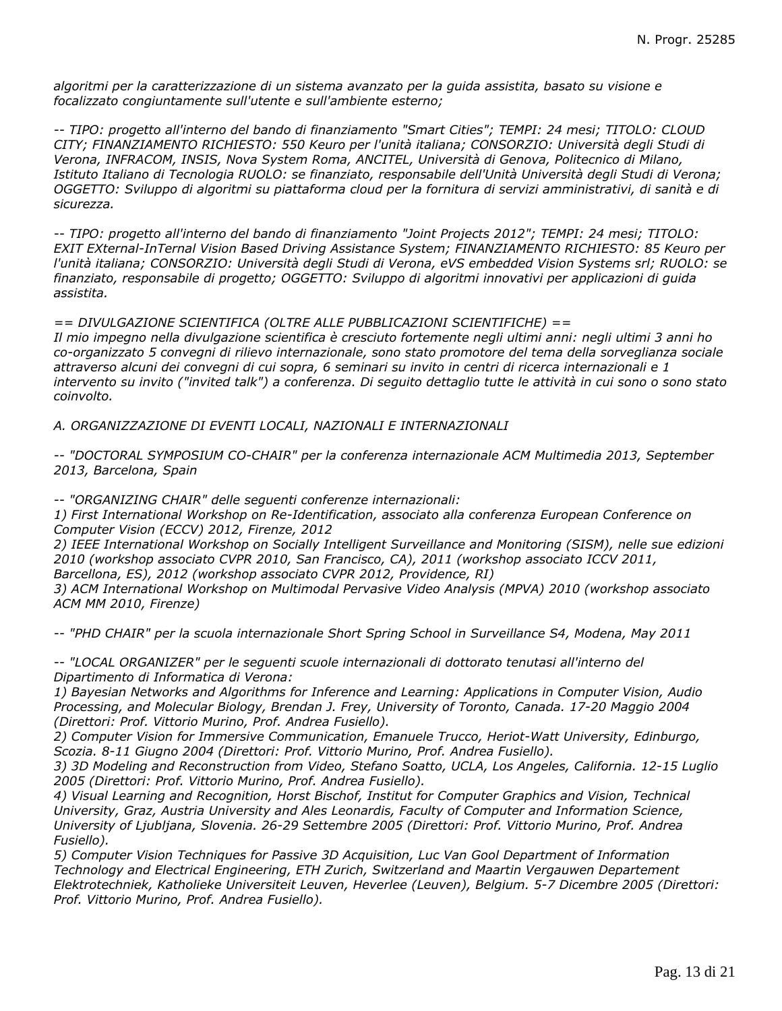*algoritmi per la caratterizzazione di un sistema avanzato per la guida assistita, basato su visione e focalizzato congiuntamente sull'utente e sull'ambiente esterno;*

*-- TIPO: progetto all'interno del bando di finanziamento "Smart Cities"; TEMPI: 24 mesi; TITOLO: CLOUD CITY; FINANZIAMENTO RICHIESTO: 550 Keuro per l'unità italiana; CONSORZIO: Università degli Studi di Verona, INFRACOM, INSIS, Nova System Roma, ANCITEL, Università di Genova, Politecnico di Milano, Istituto Italiano di Tecnologia RUOLO: se finanziato, responsabile dell'Unità Università degli Studi di Verona; OGGETTO: Sviluppo di algoritmi su piattaforma cloud per la fornitura di servizi amministrativi, di sanità e di sicurezza.*

*-- TIPO: progetto all'interno del bando di finanziamento "Joint Projects 2012"; TEMPI: 24 mesi; TITOLO: EXIT EXternal-InTernal Vision Based Driving Assistance System; FINANZIAMENTO RICHIESTO: 85 Keuro per l'unità italiana; CONSORZIO: Università degli Studi di Verona, eVS embedded Vision Systems srl; RUOLO: se finanziato, responsabile di progetto; OGGETTO: Sviluppo di algoritmi innovativi per applicazioni di guida assistita.*

*== DIVULGAZIONE SCIENTIFICA (OLTRE ALLE PUBBLICAZIONI SCIENTIFICHE) ==*

*Il mio impegno nella divulgazione scientifica è cresciuto fortemente negli ultimi anni: negli ultimi 3 anni ho co-organizzato 5 convegni di rilievo internazionale, sono stato promotore del tema della sorveglianza sociale attraverso alcuni dei convegni di cui sopra, 6 seminari su invito in centri di ricerca internazionali e 1 intervento su invito ("invited talk") a conferenza. Di seguito dettaglio tutte le attività in cui sono o sono stato coinvolto.*

*A. ORGANIZZAZIONE DI EVENTI LOCALI, NAZIONALI E INTERNAZIONALI*

*-- "DOCTORAL SYMPOSIUM CO-CHAIR" per la conferenza internazionale ACM Multimedia 2013, September 2013, Barcelona, Spain*

*-- "ORGANIZING CHAIR" delle seguenti conferenze internazionali:*

*1) First International Workshop on Re-Identification, associato alla conferenza European Conference on Computer Vision (ECCV) 2012, Firenze, 2012*

*2) IEEE International Workshop on Socially Intelligent Surveillance and Monitoring (SISM), nelle sue edizioni 2010 (workshop associato CVPR 2010, San Francisco, CA), 2011 (workshop associato ICCV 2011, Barcellona, ES), 2012 (workshop associato CVPR 2012, Providence, RI)*

*3) ACM International Workshop on Multimodal Pervasive Video Analysis (MPVA) 2010 (workshop associato ACM MM 2010, Firenze)*

*-- "PHD CHAIR" per la scuola internazionale Short Spring School in Surveillance S4, Modena, May 2011*

*-- "LOCAL ORGANIZER" per le seguenti scuole internazionali di dottorato tenutasi all'interno del Dipartimento di Informatica di Verona:*

*1) Bayesian Networks and Algorithms for Inference and Learning: Applications in Computer Vision, Audio Processing, and Molecular Biology, Brendan J. Frey, University of Toronto, Canada. 17-20 Maggio 2004 (Direttori: Prof. Vittorio Murino, Prof. Andrea Fusiello).*

*2) Computer Vision for Immersive Communication, Emanuele Trucco, Heriot-Watt University, Edinburgo, Scozia. 8-11 Giugno 2004 (Direttori: Prof. Vittorio Murino, Prof. Andrea Fusiello).*

*3) 3D Modeling and Reconstruction from Video, Stefano Soatto, UCLA, Los Angeles, California. 12-15 Luglio 2005 (Direttori: Prof. Vittorio Murino, Prof. Andrea Fusiello).*

*4) Visual Learning and Recognition, Horst Bischof, Institut for Computer Graphics and Vision, Technical University, Graz, Austria University and Ales Leonardis, Faculty of Computer and Information Science, University of Ljubljana, Slovenia. 26-29 Settembre 2005 (Direttori: Prof. Vittorio Murino, Prof. Andrea Fusiello).*

*5) Computer Vision Techniques for Passive 3D Acquisition, Luc Van Gool Department of Information Technology and Electrical Engineering, ETH Zurich, Switzerland and Maartin Vergauwen Departement Elektrotechniek, Katholieke Universiteit Leuven, Heverlee (Leuven), Belgium. 5-7 Dicembre 2005 (Direttori: Prof. Vittorio Murino, Prof. Andrea Fusiello).*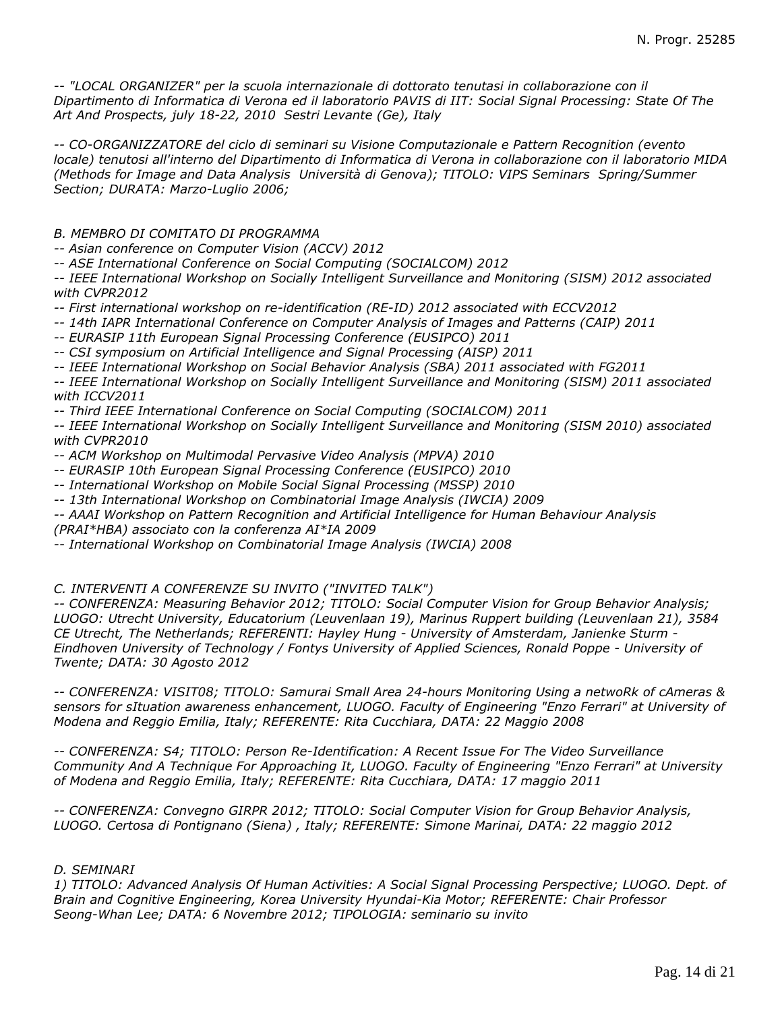*-- "LOCAL ORGANIZER" per la scuola internazionale di dottorato tenutasi in collaborazione con il Dipartimento di Informatica di Verona ed il laboratorio PAVIS di IIT: Social Signal Processing: State Of The Art And Prospects, july 18-22, 2010 Sestri Levante (Ge), Italy*

*-- CO-ORGANIZZATORE del ciclo di seminari su Visione Computazionale e Pattern Recognition (evento locale) tenutosi all'interno del Dipartimento di Informatica di Verona in collaborazione con il laboratorio MIDA (Methods for Image and Data Analysis Università di Genova); TITOLO: VIPS Seminars Spring/Summer Section; DURATA: Marzo-Luglio 2006;*

*B. MEMBRO DI COMITATO DI PROGRAMMA*

*-- Asian conference on Computer Vision (ACCV) 2012*

*-- ASE International Conference on Social Computing (SOCIALCOM) 2012*

*-- IEEE International Workshop on Socially Intelligent Surveillance and Monitoring (SISM) 2012 associated with CVPR2012*

*-- First international workshop on re-identification (RE-ID) 2012 associated with ECCV2012*

*-- 14th IAPR International Conference on Computer Analysis of Images and Patterns (CAIP) 2011*

*-- EURASIP 11th European Signal Processing Conference (EUSIPCO) 2011*

*-- CSI symposium on Artificial Intelligence and Signal Processing (AISP) 2011*

*-- IEEE International Workshop on Social Behavior Analysis (SBA) 2011 associated with FG2011*

*-- IEEE International Workshop on Socially Intelligent Surveillance and Monitoring (SISM) 2011 associated with ICCV2011*

*-- Third IEEE International Conference on Social Computing (SOCIALCOM) 2011*

*-- IEEE International Workshop on Socially Intelligent Surveillance and Monitoring (SISM 2010) associated with CVPR2010*

*-- ACM Workshop on Multimodal Pervasive Video Analysis (MPVA) 2010*

*-- EURASIP 10th European Signal Processing Conference (EUSIPCO) 2010*

- *-- International Workshop on Mobile Social Signal Processing (MSSP) 2010*
- *-- 13th International Workshop on Combinatorial Image Analysis (IWCIA) 2009*

*-- AAAI Workshop on Pattern Recognition and Artificial Intelligence for Human Behaviour Analysis*

*(PRAI\*HBA) associato con la conferenza AI\*IA 2009*

*-- International Workshop on Combinatorial Image Analysis (IWCIA) 2008*

*C. INTERVENTI A CONFERENZE SU INVITO ("INVITED TALK")*

*-- CONFERENZA: Measuring Behavior 2012; TITOLO: Social Computer Vision for Group Behavior Analysis; LUOGO: Utrecht University, Educatorium (Leuvenlaan 19), Marinus Ruppert building (Leuvenlaan 21), 3584 CE Utrecht, The Netherlands; REFERENTI: Hayley Hung - University of Amsterdam, Janienke Sturm - Eindhoven University of Technology / Fontys University of Applied Sciences, Ronald Poppe - University of Twente; DATA: 30 Agosto 2012*

*-- CONFERENZA: VISIT08; TITOLO: Samurai Small Area 24-hours Monitoring Using a netwoRk of cAmeras & sensors for sItuation awareness enhancement, LUOGO. Faculty of Engineering "Enzo Ferrari" at University of Modena and Reggio Emilia, Italy; REFERENTE: Rita Cucchiara, DATA: 22 Maggio 2008*

*-- CONFERENZA: S4; TITOLO: Person Re-Identification: A Recent Issue For The Video Surveillance Community And A Technique For Approaching It, LUOGO. Faculty of Engineering "Enzo Ferrari" at University of Modena and Reggio Emilia, Italy; REFERENTE: Rita Cucchiara, DATA: 17 maggio 2011*

*-- CONFERENZA: Convegno GIRPR 2012; TITOLO: Social Computer Vision for Group Behavior Analysis, LUOGO. Certosa di Pontignano (Siena) , Italy; REFERENTE: Simone Marinai, DATA: 22 maggio 2012*

## *D. SEMINARI*

*1) TITOLO: Advanced Analysis Of Human Activities: A Social Signal Processing Perspective; LUOGO. Dept. of Brain and Cognitive Engineering, Korea University Hyundai-Kia Motor; REFERENTE: Chair Professor Seong-Whan Lee; DATA: 6 Novembre 2012; TIPOLOGIA: seminario su invito*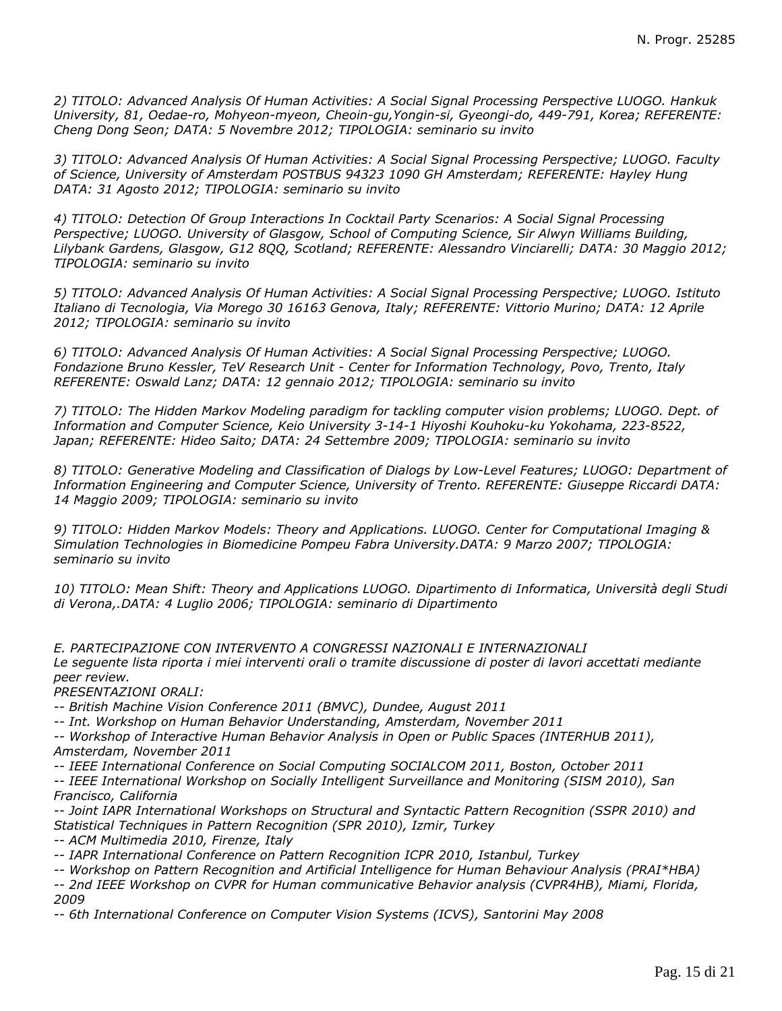*2) TITOLO: Advanced Analysis Of Human Activities: A Social Signal Processing Perspective LUOGO. Hankuk University, 81, Oedae-ro, Mohyeon-myeon, Cheoin-gu,Yongin-si, Gyeongi-do, 449-791, Korea; REFERENTE: Cheng Dong Seon; DATA: 5 Novembre 2012; TIPOLOGIA: seminario su invito*

*3) TITOLO: Advanced Analysis Of Human Activities: A Social Signal Processing Perspective; LUOGO. Faculty of Science, University of Amsterdam POSTBUS 94323 1090 GH Amsterdam; REFERENTE: Hayley Hung DATA: 31 Agosto 2012; TIPOLOGIA: seminario su invito*

*4) TITOLO: Detection Of Group Interactions In Cocktail Party Scenarios: A Social Signal Processing Perspective; LUOGO. University of Glasgow, School of Computing Science, Sir Alwyn Williams Building, Lilybank Gardens, Glasgow, G12 8QQ, Scotland; REFERENTE: Alessandro Vinciarelli; DATA: 30 Maggio 2012; TIPOLOGIA: seminario su invito*

*5) TITOLO: Advanced Analysis Of Human Activities: A Social Signal Processing Perspective; LUOGO. Istituto Italiano di Tecnologia, Via Morego 30 16163 Genova, Italy; REFERENTE: Vittorio Murino; DATA: 12 Aprile 2012; TIPOLOGIA: seminario su invito*

*6) TITOLO: Advanced Analysis Of Human Activities: A Social Signal Processing Perspective; LUOGO. Fondazione Bruno Kessler, TeV Research Unit - Center for Information Technology, Povo, Trento, Italy REFERENTE: Oswald Lanz; DATA: 12 gennaio 2012; TIPOLOGIA: seminario su invito*

*7) TITOLO: The Hidden Markov Modeling paradigm for tackling computer vision problems; LUOGO. Dept. of Information and Computer Science, Keio University 3-14-1 Hiyoshi Kouhoku-ku Yokohama, 223-8522, Japan; REFERENTE: Hideo Saito; DATA: 24 Settembre 2009; TIPOLOGIA: seminario su invito*

*8) TITOLO: Generative Modeling and Classification of Dialogs by Low-Level Features; LUOGO: Department of Information Engineering and Computer Science, University of Trento. REFERENTE: Giuseppe Riccardi DATA: 14 Maggio 2009; TIPOLOGIA: seminario su invito*

*9) TITOLO: Hidden Markov Models: Theory and Applications. LUOGO. Center for Computational Imaging & Simulation Technologies in Biomedicine Pompeu Fabra University.DATA: 9 Marzo 2007; TIPOLOGIA: seminario su invito*

*10) TITOLO: Mean Shift: Theory and Applications LUOGO. Dipartimento di Informatica, Università degli Studi di Verona,.DATA: 4 Luglio 2006; TIPOLOGIA: seminario di Dipartimento*

*E. PARTECIPAZIONE CON INTERVENTO A CONGRESSI NAZIONALI E INTERNAZIONALI Le seguente lista riporta i miei interventi orali o tramite discussione di poster di lavori accettati mediante peer review.*

*PRESENTAZIONI ORALI:*

*-- British Machine Vision Conference 2011 (BMVC), Dundee, August 2011*

*-- Int. Workshop on Human Behavior Understanding, Amsterdam, November 2011*

*-- Workshop of Interactive Human Behavior Analysis in Open or Public Spaces (INTERHUB 2011), Amsterdam, November 2011*

*-- IEEE International Conference on Social Computing SOCIALCOM 2011, Boston, October 2011 -- IEEE International Workshop on Socially Intelligent Surveillance and Monitoring (SISM 2010), San Francisco, California*

*-- Joint IAPR International Workshops on Structural and Syntactic Pattern Recognition (SSPR 2010) and Statistical Techniques in Pattern Recognition (SPR 2010), Izmir, Turkey*

*-- ACM Multimedia 2010, Firenze, Italy*

*-- IAPR International Conference on Pattern Recognition ICPR 2010, Istanbul, Turkey*

*-- Workshop on Pattern Recognition and Artificial Intelligence for Human Behaviour Analysis (PRAI\*HBA)*

*-- 2nd IEEE Workshop on CVPR for Human communicative Behavior analysis (CVPR4HB), Miami, Florida, 2009*

*-- 6th International Conference on Computer Vision Systems (ICVS), Santorini May 2008*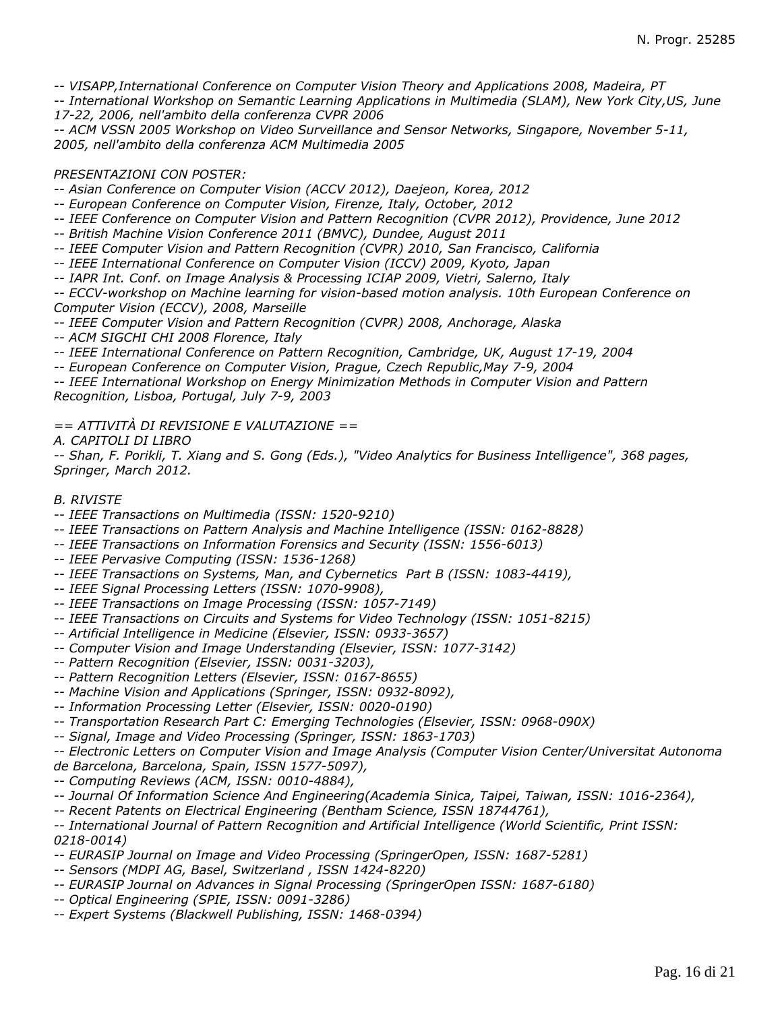*-- VISAPP,International Conference on Computer Vision Theory and Applications 2008, Madeira, PT*

*-- International Workshop on Semantic Learning Applications in Multimedia (SLAM), New York City,US, June 17-22, 2006, nell'ambito della conferenza CVPR 2006*

*-- ACM VSSN 2005 Workshop on Video Surveillance and Sensor Networks, Singapore, November 5-11, 2005, nell'ambito della conferenza ACM Multimedia 2005*

# *PRESENTAZIONI CON POSTER:*

*-- Asian Conference on Computer Vision (ACCV 2012), Daejeon, Korea, 2012*

*-- European Conference on Computer Vision, Firenze, Italy, October, 2012*

*-- IEEE Conference on Computer Vision and Pattern Recognition (CVPR 2012), Providence, June 2012*

*-- British Machine Vision Conference 2011 (BMVC), Dundee, August 2011*

*-- IEEE Computer Vision and Pattern Recognition (CVPR) 2010, San Francisco, California*

*-- IEEE International Conference on Computer Vision (ICCV) 2009, Kyoto, Japan*

*-- IAPR Int. Conf. on Image Analysis & Processing ICIAP 2009, Vietri, Salerno, Italy*

*-- ECCV-workshop on Machine learning for vision-based motion analysis. 10th European Conference on Computer Vision (ECCV), 2008, Marseille*

*-- IEEE Computer Vision and Pattern Recognition (CVPR) 2008, Anchorage, Alaska*

*-- ACM SIGCHI CHI 2008 Florence, Italy*

*-- IEEE International Conference on Pattern Recognition, Cambridge, UK, August 17-19, 2004*

*-- European Conference on Computer Vision, Prague, Czech Republic,May 7-9, 2004*

*-- IEEE International Workshop on Energy Minimization Methods in Computer Vision and Pattern Recognition, Lisboa, Portugal, July 7-9, 2003*

*== ATTIVITÀ DI REVISIONE E VALUTAZIONE ==*

*A. CAPITOLI DI LIBRO*

*-- Shan, F. Porikli, T. Xiang and S. Gong (Eds.), "Video Analytics for Business Intelligence", 368 pages, Springer, March 2012.*

## *B. RIVISTE*

*-- IEEE Transactions on Multimedia (ISSN: 1520-9210)*

*-- IEEE Transactions on Pattern Analysis and Machine Intelligence (ISSN: 0162-8828)*

*-- IEEE Transactions on Information Forensics and Security (ISSN: 1556-6013)*

*-- IEEE Pervasive Computing (ISSN: 1536-1268)*

*-- IEEE Transactions on Systems, Man, and Cybernetics Part B (ISSN: 1083-4419),*

*-- IEEE Signal Processing Letters (ISSN: 1070-9908),*

*-- IEEE Transactions on Image Processing (ISSN: 1057-7149)*

*-- IEEE Transactions on Circuits and Systems for Video Technology (ISSN: 1051-8215)*

*-- Artificial Intelligence in Medicine (Elsevier, ISSN: 0933-3657)*

*-- Computer Vision and Image Understanding (Elsevier, ISSN: 1077-3142)*

- *-- Pattern Recognition (Elsevier, ISSN: 0031-3203),*
- *-- Pattern Recognition Letters (Elsevier, ISSN: 0167-8655)*
- *-- Machine Vision and Applications (Springer, ISSN: 0932-8092),*
- *-- Information Processing Letter (Elsevier, ISSN: 0020-0190)*

*-- Transportation Research Part C: Emerging Technologies (Elsevier, ISSN: 0968-090X)*

*-- Signal, Image and Video Processing (Springer, ISSN: 1863-1703)*

*-- Electronic Letters on Computer Vision and Image Analysis (Computer Vision Center/Universitat Autonoma*

*de Barcelona, Barcelona, Spain, ISSN 1577-5097),*

*-- Computing Reviews (ACM, ISSN: 0010-4884),*

*-- Journal Of Information Science And Engineering(Academia Sinica, Taipei, Taiwan, ISSN: 1016-2364),*

*-- Recent Patents on Electrical Engineering (Bentham Science, ISSN 18744761),*

*-- International Journal of Pattern Recognition and Artificial Intelligence (World Scientific, Print ISSN: 0218-0014)*

*-- EURASIP Journal on Image and Video Processing (SpringerOpen, ISSN: 1687-5281)*

*-- Sensors (MDPI AG, Basel, Switzerland , ISSN 1424-8220)*

*-- EURASIP Journal on Advances in Signal Processing (SpringerOpen ISSN: 1687-6180)*

*-- Optical Engineering (SPIE, ISSN: 0091-3286)*

*-- Expert Systems (Blackwell Publishing, ISSN: 1468-0394)*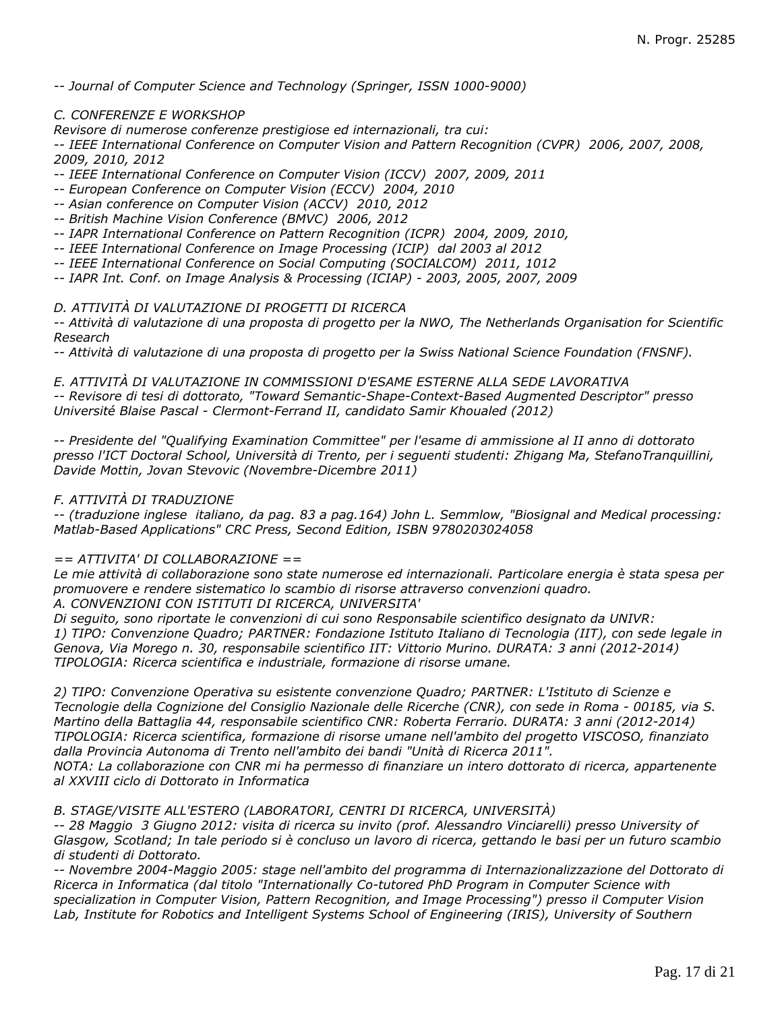*-- Journal of Computer Science and Technology (Springer, ISSN 1000-9000)*

#### *C. CONFERENZE E WORKSHOP*

*Revisore di numerose conferenze prestigiose ed internazionali, tra cui:*

*-- IEEE International Conference on Computer Vision and Pattern Recognition (CVPR) 2006, 2007, 2008, 2009, 2010, 2012*

*-- IEEE International Conference on Computer Vision (ICCV) 2007, 2009, 2011*

*-- European Conference on Computer Vision (ECCV) 2004, 2010*

*-- Asian conference on Computer Vision (ACCV) 2010, 2012*

*-- British Machine Vision Conference (BMVC) 2006, 2012*

*-- IAPR International Conference on Pattern Recognition (ICPR) 2004, 2009, 2010,*

*-- IEEE International Conference on Image Processing (ICIP) dal 2003 al 2012*

*-- IEEE International Conference on Social Computing (SOCIALCOM) 2011, 1012*

*-- IAPR Int. Conf. on Image Analysis & Processing (ICIAP) - 2003, 2005, 2007, 2009*

*D. ATTIVITÀ DI VALUTAZIONE DI PROGETTI DI RICERCA*

*-- Attività di valutazione di una proposta di progetto per la NWO, The Netherlands Organisation for Scientific Research*

*-- Attività di valutazione di una proposta di progetto per la Swiss National Science Foundation (FNSNF).*

*E. ATTIVITÀ DI VALUTAZIONE IN COMMISSIONI D'ESAME ESTERNE ALLA SEDE LAVORATIVA*

*-- Revisore di tesi di dottorato, "Toward Semantic-Shape-Context-Based Augmented Descriptor" presso Université Blaise Pascal - Clermont-Ferrand II, candidato Samir Khoualed (2012)*

*-- Presidente del "Qualifying Examination Committee" per l'esame di ammissione al II anno di dottorato presso l'ICT Doctoral School, Università di Trento, per i seguenti studenti: Zhigang Ma, StefanoTranquillini, Davide Mottin, Jovan Stevovic (Novembre-Dicembre 2011)*

#### *F. ATTIVITÀ DI TRADUZIONE*

*-- (traduzione inglese italiano, da pag. 83 a pag.164) John L. Semmlow, "Biosignal and Medical processing: Matlab-Based Applications" CRC Press, Second Edition, ISBN 9780203024058*

#### *== ATTIVITA' DI COLLABORAZIONE ==*

*Le mie attività di collaborazione sono state numerose ed internazionali. Particolare energia è stata spesa per promuovere e rendere sistematico lo scambio di risorse attraverso convenzioni quadro.*

*A. CONVENZIONI CON ISTITUTI DI RICERCA, UNIVERSITA'*

*Di seguito, sono riportate le convenzioni di cui sono Responsabile scientifico designato da UNIVR: 1) TIPO: Convenzione Quadro; PARTNER: Fondazione Istituto Italiano di Tecnologia (IIT), con sede legale in Genova, Via Morego n. 30, responsabile scientifico IIT: Vittorio Murino. DURATA: 3 anni (2012-2014) TIPOLOGIA: Ricerca scientifica e industriale, formazione di risorse umane.*

*2) TIPO: Convenzione Operativa su esistente convenzione Quadro; PARTNER: L'Istituto di Scienze e Tecnologie della Cognizione del Consiglio Nazionale delle Ricerche (CNR), con sede in Roma - 00185, via S. Martino della Battaglia 44, responsabile scientifico CNR: Roberta Ferrario. DURATA: 3 anni (2012-2014) TIPOLOGIA: Ricerca scientifica, formazione di risorse umane nell'ambito del progetto VISCOSO, finanziato dalla Provincia Autonoma di Trento nell'ambito dei bandi "Unità di Ricerca 2011". NOTA: La collaborazione con CNR mi ha permesso di finanziare un intero dottorato di ricerca, appartenente al XXVIII ciclo di Dottorato in Informatica*

#### *B. STAGE/VISITE ALL'ESTERO (LABORATORI, CENTRI DI RICERCA, UNIVERSITÀ)*

*-- 28 Maggio 3 Giugno 2012: visita di ricerca su invito (prof. Alessandro Vinciarelli) presso University of Glasgow, Scotland; In tale periodo si è concluso un lavoro di ricerca, gettando le basi per un futuro scambio di studenti di Dottorato.*

*-- Novembre 2004-Maggio 2005: stage nell'ambito del programma di Internazionalizzazione del Dottorato di Ricerca in Informatica (dal titolo "Internationally Co-tutored PhD Program in Computer Science with specialization in Computer Vision, Pattern Recognition, and Image Processing") presso il Computer Vision Lab, Institute for Robotics and Intelligent Systems School of Engineering (IRIS), University of Southern*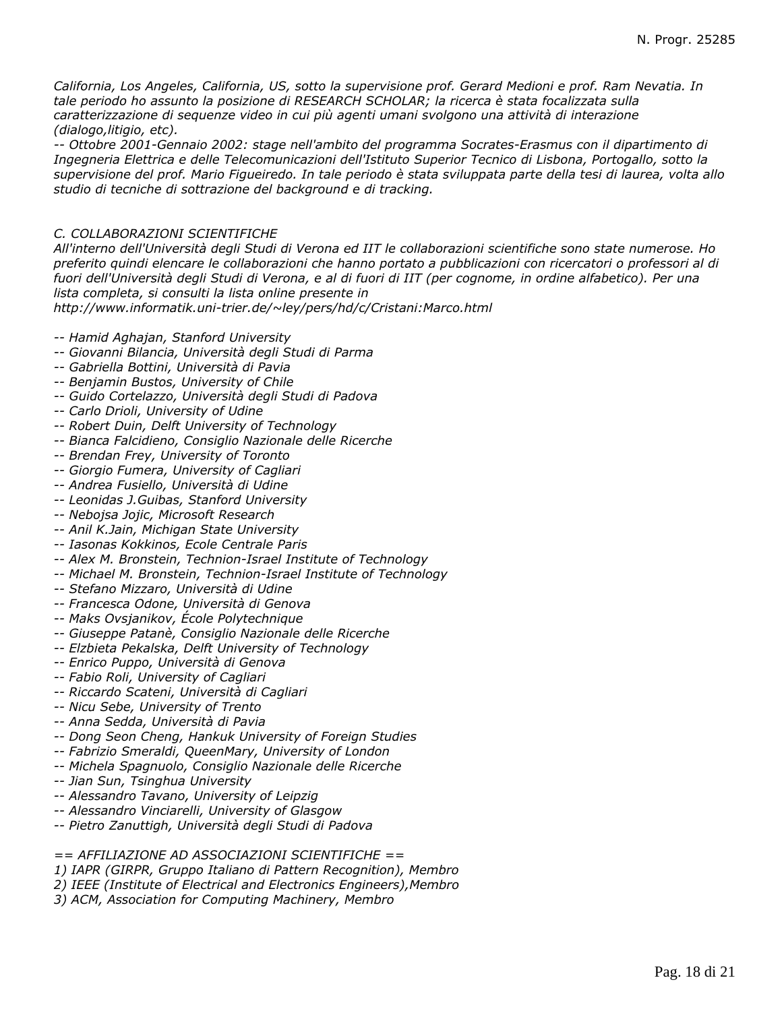*California, Los Angeles, California, US, sotto la supervisione prof. Gerard Medioni e prof. Ram Nevatia. In tale periodo ho assunto la posizione di RESEARCH SCHOLAR; la ricerca è stata focalizzata sulla caratterizzazione di sequenze video in cui più agenti umani svolgono una attività di interazione (dialogo,litigio, etc).*

*-- Ottobre 2001-Gennaio 2002: stage nell'ambito del programma Socrates-Erasmus con il dipartimento di Ingegneria Elettrica e delle Telecomunicazioni dell'Istituto Superior Tecnico di Lisbona, Portogallo, sotto la supervisione del prof. Mario Figueiredo. In tale periodo è stata sviluppata parte della tesi di laurea, volta allo studio di tecniche di sottrazione del background e di tracking.*

# *C. COLLABORAZIONI SCIENTIFICHE*

*All'interno dell'Università degli Studi di Verona ed IIT le collaborazioni scientifiche sono state numerose. Ho preferito quindi elencare le collaborazioni che hanno portato a pubblicazioni con ricercatori o professori al di fuori dell'Università degli Studi di Verona, e al di fuori di IIT (per cognome, in ordine alfabetico). Per una lista completa, si consulti la lista online presente in*

*http://www.informatik.uni-trier.de/~ley/pers/hd/c/Cristani:Marco.html*

- *-- Hamid Aghajan, Stanford University*
- *-- Giovanni Bilancia, Università degli Studi di Parma*
- *-- Gabriella Bottini, Università di Pavia*
- *-- Benjamin Bustos, University of Chile*
- *-- Guido Cortelazzo, Università degli Studi di Padova*
- *-- Carlo Drioli, University of Udine*
- *-- Robert Duin, Delft University of Technology*
- *-- Bianca Falcidieno, Consiglio Nazionale delle Ricerche*
- *-- Brendan Frey, University of Toronto*
- *-- Giorgio Fumera, University of Cagliari*
- *-- Andrea Fusiello, Università di Udine*
- *-- Leonidas J.Guibas, Stanford University*
- *-- Nebojsa Jojic, Microsoft Research*
- *-- Anil K.Jain, Michigan State University*
- *-- Iasonas Kokkinos, Ecole Centrale Paris*
- *-- Alex M. Bronstein, Technion-Israel Institute of Technology*
- *-- Michael M. Bronstein, Technion-Israel Institute of Technology*
- *-- Stefano Mizzaro, Università di Udine*
- *-- Francesca Odone, Università di Genova*
- *-- Maks Ovsjanikov, École Polytechnique*
- *-- Giuseppe Patanè, Consiglio Nazionale delle Ricerche*
- *-- Elzbieta Pekalska, Delft University of Technology*
- *-- Enrico Puppo, Università di Genova*
- *-- Fabio Roli, University of Cagliari*
- *-- Riccardo Scateni, Università di Cagliari*
- *-- Nicu Sebe, University of Trento*
- *-- Anna Sedda, Università di Pavia*
- *-- Dong Seon Cheng, Hankuk University of Foreign Studies*
- *-- Fabrizio Smeraldi, QueenMary, University of London*
- *-- Michela Spagnuolo, Consiglio Nazionale delle Ricerche*
- *-- Jian Sun, Tsinghua University*
- *-- Alessandro Tavano, University of Leipzig*
- *-- Alessandro Vinciarelli, University of Glasgow*
- *-- Pietro Zanuttigh, Università degli Studi di Padova*

*== AFFILIAZIONE AD ASSOCIAZIONI SCIENTIFICHE ==*

- *1) IAPR (GIRPR, Gruppo Italiano di Pattern Recognition), Membro*
- *2) IEEE (Institute of Electrical and Electronics Engineers),Membro*
- *3) ACM, Association for Computing Machinery, Membro*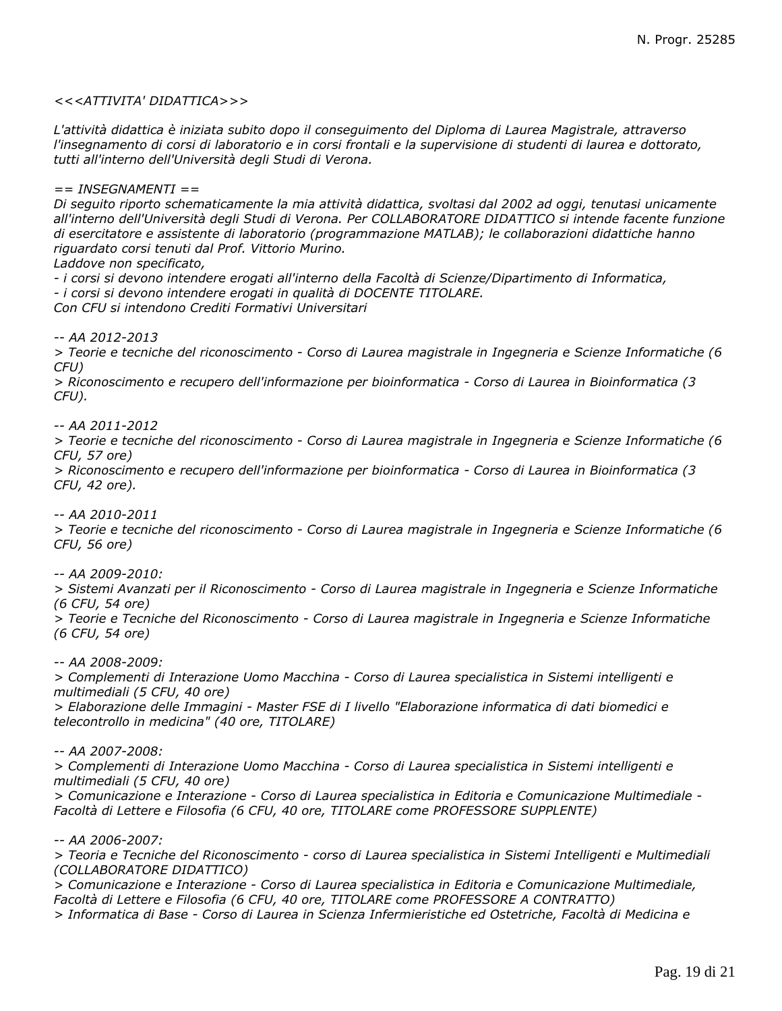### *<<<ATTIVITA' DIDATTICA>>>*

*L'attività didattica è iniziata subito dopo il conseguimento del Diploma di Laurea Magistrale, attraverso l'insegnamento di corsi di laboratorio e in corsi frontali e la supervisione di studenti di laurea e dottorato, tutti all'interno dell'Università degli Studi di Verona.*

*== INSEGNAMENTI ==*

*Di seguito riporto schematicamente la mia attività didattica, svoltasi dal 2002 ad oggi, tenutasi unicamente all'interno dell'Università degli Studi di Verona. Per COLLABORATORE DIDATTICO si intende facente funzione di esercitatore e assistente di laboratorio (programmazione MATLAB); le collaborazioni didattiche hanno riguardato corsi tenuti dal Prof. Vittorio Murino.*

*Laddove non specificato,*

*- i corsi si devono intendere erogati all'interno della Facoltà di Scienze/Dipartimento di Informatica, - i corsi si devono intendere erogati in qualità di DOCENTE TITOLARE. Con CFU si intendono Crediti Formativi Universitari*

*-- AA 2012-2013*

*> Teorie e tecniche del riconoscimento - Corso di Laurea magistrale in Ingegneria e Scienze Informatiche (6 CFU)*

*> Riconoscimento e recupero dell'informazione per bioinformatica - Corso di Laurea in Bioinformatica (3 CFU).*

*-- AA 2011-2012*

*> Teorie e tecniche del riconoscimento - Corso di Laurea magistrale in Ingegneria e Scienze Informatiche (6 CFU, 57 ore)*

*> Riconoscimento e recupero dell'informazione per bioinformatica - Corso di Laurea in Bioinformatica (3 CFU, 42 ore).*

*-- AA 2010-2011*

*> Teorie e tecniche del riconoscimento - Corso di Laurea magistrale in Ingegneria e Scienze Informatiche (6 CFU, 56 ore)*

*-- AA 2009-2010:*

*> Sistemi Avanzati per il Riconoscimento - Corso di Laurea magistrale in Ingegneria e Scienze Informatiche (6 CFU, 54 ore)*

*> Teorie e Tecniche del Riconoscimento - Corso di Laurea magistrale in Ingegneria e Scienze Informatiche (6 CFU, 54 ore)*

*-- AA 2008-2009:*

*> Complementi di Interazione Uomo Macchina - Corso di Laurea specialistica in Sistemi intelligenti e multimediali (5 CFU, 40 ore)*

*> Elaborazione delle Immagini - Master FSE di I livello "Elaborazione informatica di dati biomedici e telecontrollo in medicina" (40 ore, TITOLARE)*

*-- AA 2007-2008:*

*> Complementi di Interazione Uomo Macchina - Corso di Laurea specialistica in Sistemi intelligenti e multimediali (5 CFU, 40 ore)*

*> Comunicazione e Interazione - Corso di Laurea specialistica in Editoria e Comunicazione Multimediale - Facoltà di Lettere e Filosofia (6 CFU, 40 ore, TITOLARE come PROFESSORE SUPPLENTE)*

*-- AA 2006-2007:*

*> Teoria e Tecniche del Riconoscimento - corso di Laurea specialistica in Sistemi Intelligenti e Multimediali (COLLABORATORE DIDATTICO)*

*> Comunicazione e Interazione - Corso di Laurea specialistica in Editoria e Comunicazione Multimediale, Facoltà di Lettere e Filosofia (6 CFU, 40 ore, TITOLARE come PROFESSORE A CONTRATTO)*

*> Informatica di Base - Corso di Laurea in Scienza Infermieristiche ed Ostetriche, Facoltà di Medicina e*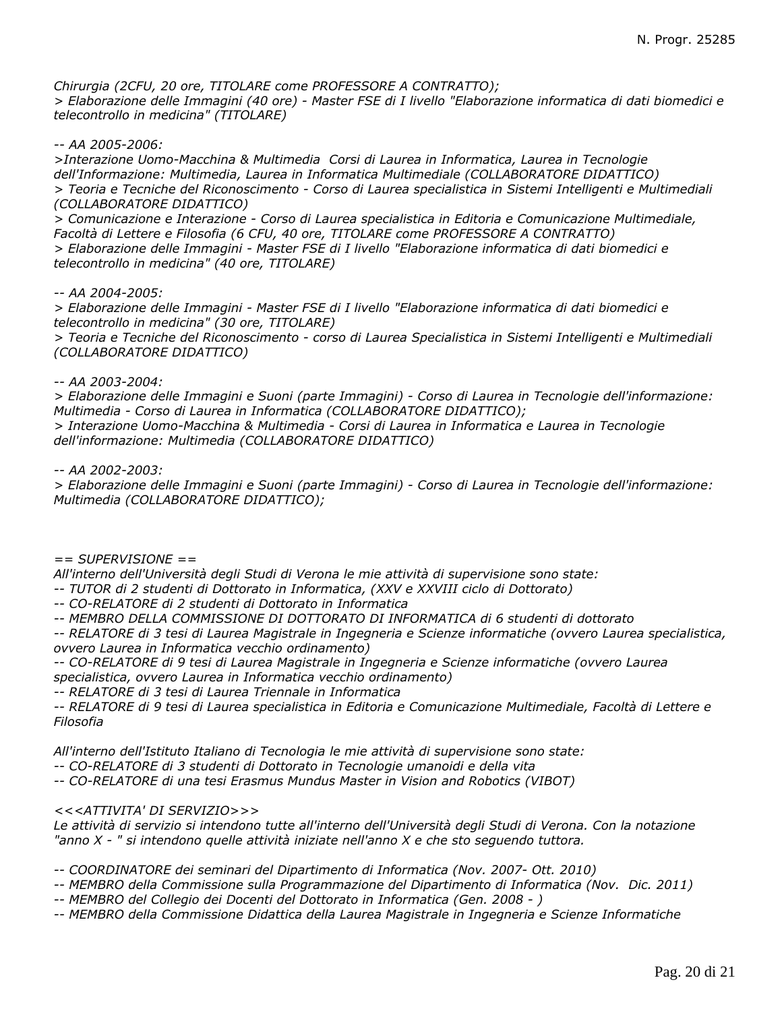*Chirurgia (2CFU, 20 ore, TITOLARE come PROFESSORE A CONTRATTO); > Elaborazione delle Immagini (40 ore) - Master FSE di I livello "Elaborazione informatica di dati biomedici e telecontrollo in medicina" (TITOLARE)*

*-- AA 2005-2006:*

*>Interazione Uomo-Macchina & Multimedia Corsi di Laurea in Informatica, Laurea in Tecnologie dell'Informazione: Multimedia, Laurea in Informatica Multimediale (COLLABORATORE DIDATTICO) > Teoria e Tecniche del Riconoscimento - Corso di Laurea specialistica in Sistemi Intelligenti e Multimediali (COLLABORATORE DIDATTICO)*

*> Comunicazione e Interazione - Corso di Laurea specialistica in Editoria e Comunicazione Multimediale, Facoltà di Lettere e Filosofia (6 CFU, 40 ore, TITOLARE come PROFESSORE A CONTRATTO) > Elaborazione delle Immagini - Master FSE di I livello "Elaborazione informatica di dati biomedici e telecontrollo in medicina" (40 ore, TITOLARE)*

*-- AA 2004-2005:*

*> Elaborazione delle Immagini - Master FSE di I livello "Elaborazione informatica di dati biomedici e telecontrollo in medicina" (30 ore, TITOLARE)*

*> Teoria e Tecniche del Riconoscimento - corso di Laurea Specialistica in Sistemi Intelligenti e Multimediali (COLLABORATORE DIDATTICO)*

# *-- AA 2003-2004:*

*> Elaborazione delle Immagini e Suoni (parte Immagini) - Corso di Laurea in Tecnologie dell'informazione: Multimedia - Corso di Laurea in Informatica (COLLABORATORE DIDATTICO); > Interazione Uomo-Macchina & Multimedia - Corsi di Laurea in Informatica e Laurea in Tecnologie dell'informazione: Multimedia (COLLABORATORE DIDATTICO)*

*-- AA 2002-2003:*

*> Elaborazione delle Immagini e Suoni (parte Immagini) - Corso di Laurea in Tecnologie dell'informazione: Multimedia (COLLABORATORE DIDATTICO);*

*== SUPERVISIONE ==*

*All'interno dell'Università degli Studi di Verona le mie attività di supervisione sono state:*

*-- TUTOR di 2 studenti di Dottorato in Informatica, (XXV e XXVIII ciclo di Dottorato)*

*-- CO-RELATORE di 2 studenti di Dottorato in Informatica*

*-- MEMBRO DELLA COMMISSIONE DI DOTTORATO DI INFORMATICA di 6 studenti di dottorato*

*-- RELATORE di 3 tesi di Laurea Magistrale in Ingegneria e Scienze informatiche (ovvero Laurea specialistica, ovvero Laurea in Informatica vecchio ordinamento)*

*-- CO-RELATORE di 9 tesi di Laurea Magistrale in Ingegneria e Scienze informatiche (ovvero Laurea specialistica, ovvero Laurea in Informatica vecchio ordinamento)*

*-- RELATORE di 3 tesi di Laurea Triennale in Informatica*

*-- RELATORE di 9 tesi di Laurea specialistica in Editoria e Comunicazione Multimediale, Facoltà di Lettere e Filosofia*

*All'interno dell'Istituto Italiano di Tecnologia le mie attività di supervisione sono state:*

*-- CO-RELATORE di 3 studenti di Dottorato in Tecnologie umanoidi e della vita*

*-- CO-RELATORE di una tesi Erasmus Mundus Master in Vision and Robotics (VIBOT)*

# *<<<ATTIVITA' DI SERVIZIO>>>*

*Le attività di servizio si intendono tutte all'interno dell'Università degli Studi di Verona. Con la notazione "anno X - " si intendono quelle attività iniziate nell'anno X e che sto seguendo tuttora.*

*-- COORDINATORE dei seminari del Dipartimento di Informatica (Nov. 2007- Ott. 2010)*

*-- MEMBRO della Commissione sulla Programmazione del Dipartimento di Informatica (Nov. Dic. 2011)*

*-- MEMBRO del Collegio dei Docenti del Dottorato in Informatica (Gen. 2008 - )*

*-- MEMBRO della Commissione Didattica della Laurea Magistrale in Ingegneria e Scienze Informatiche*